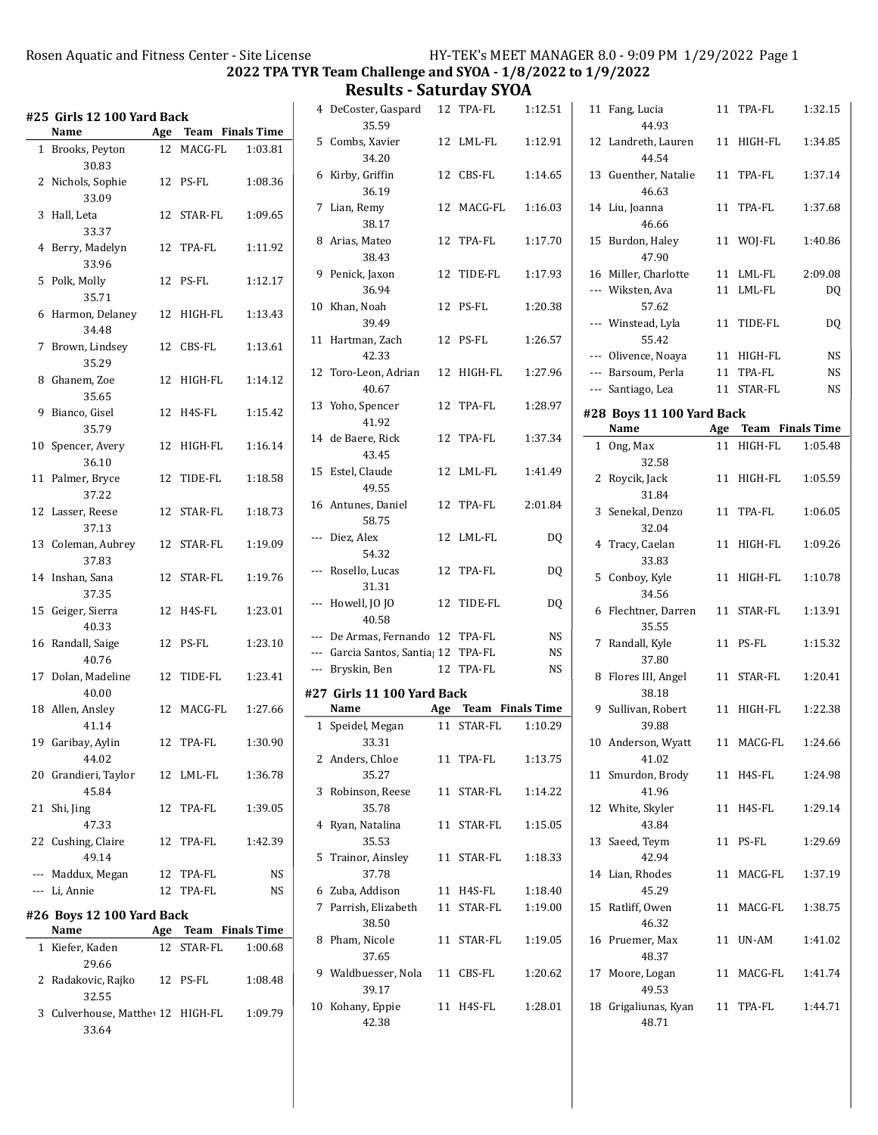Results - Saturday SYOA

|                | #25 Girls 12 100 Yard Back                           |    |                      |         |
|----------------|------------------------------------------------------|----|----------------------|---------|
|                | Name                                                 |    | Age Team Finals Time |         |
| $\mathbf{1}$   | Brooks, Peyton<br>30.83                              |    | 12 MACG-FL           | 1:03.81 |
| 2              | Nichols, Sophie<br>33.09                             |    | 12 PS-FL             | 1:08.36 |
| 3              | Hall, Leta<br>33.37                                  | 12 | STAR-FL              | 1:09.65 |
| $\overline{4}$ | Berry, Madelyn<br>33.96                              | 12 | TPA-FL               | 1:11.92 |
| 5              | Polk, Molly<br>35.71                                 | 12 | PS-FL                | 1:12.17 |
| 6              | Harmon, Delaney<br>34.48                             |    | 12 HIGH-FL           | 1:13.43 |
| 7              | Brown, Lindsey<br>35.29                              | 12 | CBS-FL               | 1:13.61 |
| 8              | Ghanem, Zoe<br>35.65                                 |    | 12 HIGH-FL           | 1:14.12 |
| 9              | Bianco, Gisel<br>35.79                               | 12 | H4S-FL               | 1:15.42 |
| 10             | Spencer, Avery<br>36.10                              | 12 | HIGH-FL              | 1:16.14 |
| 11             | Palmer, Bryce<br>37.22                               | 12 | TIDE-FL              | 1:18.58 |
| 12             | Lasser, Reese<br>37.13                               | 12 | STAR-FL              | 1:18.73 |
| 13             | Coleman, Aubrey<br>37.83                             |    | 12 STAR-FL           | 1:19.09 |
| 14             | Inshan, Sana<br>37.35                                | 12 | STAR-FL              | 1:19.76 |
| 15             | Geiger, Sierra<br>40.33                              | 12 | H4S-FL               | 1:23.01 |
| 16             | Randall, Saige<br>40.76                              | 12 | PS-FL                | 1:23.10 |
| 17             | Dolan, Madeline<br>40.00                             | 12 | TIDE-FL              | 1:23.41 |
|                | 18 Allen, Ansley<br>41.14                            | 12 | MACG-FL              | 1:27.66 |
|                | 19 Garibay, Aylin<br>44.02                           | 12 | TPA-FL               | 1:30.90 |
|                | 20 Grandieri, Taylor<br>45.84                        |    | 12 LML-FL            | 1:36.78 |
| 21             | Shi, Jing<br>47.33                                   |    | 12 TPA-FL            | 1:39.05 |
|                | 22 Cushing, Claire<br>49.14                          |    | 12 TPA-FL            | 1:42.39 |
|                | --- Maddux, Megan                                    |    | 12 TPA-FL            | NS      |
|                | --- Li, Annie                                        | 12 | TPA-FL               | NS      |
|                | #26 Boys 12 100 Yard Back<br>Name                    |    | Age Team Finals Time |         |
| 1              | Kiefer, Kaden                                        |    | 12 STAR-FL           | 1:00.68 |
| 2              | 29.66<br>Radakovic, Rajko                            |    | 12 PS-FL             | 1:08.48 |
|                | 32.55<br>3 Culverhouse, Matthe <sup>12</sup> HIGH-FL |    |                      | 1:09.79 |
|                | 33.64                                                |    |                      |         |

|              | 4 DeCoster, Gaspard<br>35.59                              |    | 12 TPA-FL            | 1:12.51            |
|--------------|-----------------------------------------------------------|----|----------------------|--------------------|
| 5            | Combs, Xavier<br>34.20                                    |    | 12 LML-FL            | 1:12.91            |
|              | 6 Kirby, Griffin<br>36.19                                 |    | 12 CBS-FL            | 1:14.65            |
|              | 7 Lian, Remy<br>38.17                                     | 12 | MACG-FL              | 1:16.03            |
|              | 8 Arias, Mateo<br>38.43                                   | 12 | TPA-FL               | 1:17.70            |
| 9            | Penick, Jaxon<br>36.94                                    | 12 | TIDE-FL              | 1:17.93            |
| 10           | Khan, Noah<br>39.49                                       |    | 12 PS-FL             | 1:20.38            |
| 11           | Hartman, Zach<br>42.33                                    |    | 12 PS-FL             | 1:26.57            |
|              | 12 Toro-Leon, Adrian<br>40.67                             |    | 12 HIGH-FL           | 1:27.96            |
|              | 13 Yoho, Spencer<br>41.92                                 |    | 12 TPA-FL            | 1:28.97            |
|              | 14 de Baere, Rick<br>43.45                                | 12 | TPA-FL               | 1:37.34            |
|              | 15 Estel, Claude<br>49.55                                 |    | 12 LML-FL            | 1:41.49            |
|              | 16 Antunes, Daniel<br>58.75                               |    | 12 TPA-FL            | 2:01.84            |
| ---          | Diez, Alex<br>54.32                                       | 12 | LML-FL               | DQ                 |
|              | --- Rosello, Lucas<br>31.31                               |    | 12 TPA-FL            | DQ                 |
| ---          | Howell, JO JO<br>40.58                                    | 12 | TIDE-FL              | DQ                 |
|              | --- De Armas, Fernando 12 TPA-FL                          |    |                      | NS                 |
|              | --- Garcia Santos, Santia; 12 TPA-FL                      |    |                      | <b>NS</b>          |
|              | --- Bryskin, Ben<br>#27 Girls 11 100 Yard Back            |    | 12 TPA-FL            | NS                 |
|              | Name                                                      |    | Age Team Finals Time |                    |
| $\mathbf{1}$ | Speidel, Megan                                            |    | 11 STAR-FL           |                    |
|              | 33.31                                                     |    | 11 TPA-FL            | 1:10.29<br>1:13.75 |
|              | 2 Anders, Chloe<br>35.27                                  |    |                      |                    |
|              |                                                           |    |                      |                    |
| 3            | Robinson, Reese<br>35.78                                  |    | 11 STAR-FL           | 1:14.22            |
| 4            | Ryan, Natalina<br>35.53                                   |    | 11 STAR-FL           | 1:15.05            |
| 5            | Trainor, Ainsley<br>37.78                                 |    | 11 STAR-FL           | 1:18.33            |
| 6            | Zuba, Addison<br>7 Parrish, Elizabeth 11 STAR-FL<br>38.50 |    | 11 H4S-FL            | 1:18.40<br>1:19.00 |
| 8            | Pham, Nicole<br>37.65                                     |    | 11 STAR-FL           | 1:19.05            |
|              | 9 Waldbuesser, Nola 11 CBS-FL<br>39.17                    |    |                      | 1:20.62            |

| 11             | Fang, Lucia<br>44.93              | 11 | TPA-FL               | 1:32.15 |
|----------------|-----------------------------------|----|----------------------|---------|
| 12             | Landreth, Lauren<br>44.54         | 11 | HIGH-FL              | 1:34.85 |
| 13             | Guenther, Natalie<br>46.63        |    | 11 TPA-FL            | 1:37.14 |
| 14             | Liu, Joanna<br>46.66              | 11 | TPA-FL               | 1:37.68 |
| 15             | Burdon, Haley<br>47.90            | 11 | WOJ-FL               | 1:40.86 |
|                | 16 Miller, Charlotte              |    | 11 LML-FL            | 2:09.08 |
|                | --- Wiksten, Ava<br>57.62         | 11 | LML-FL               | DQ      |
|                | --- Winstead, Lyla<br>55.42       | 11 | TIDE-FL              | DQ      |
|                | --- Olivence, Noaya               |    | 11 HIGH-FL           | NS      |
|                | --- Barsoum, Perla                |    | 11 TPA-FL            | NS      |
|                | --- Santiago, Lea                 | 11 | STAR-FL              | NS      |
|                |                                   |    |                      |         |
|                | #28 Boys 11 100 Yard Back<br>Name |    | Age Team Finals Time |         |
| $\mathbf{1}$   | Ong, Max                          | 11 | HIGH-FL              | 1:05.48 |
|                | 32.58                             |    |                      |         |
| $\overline{2}$ | Roycik, Jack<br>31.84             | 11 | HIGH-FL              | 1:05.59 |
| 3              | Senekal, Denzo<br>32.04           | 11 | TPA-FL               | 1:06.05 |
| 4              | Tracy, Caelan<br>33.83            | 11 | HIGH-FL              | 1:09.26 |
| 5              | Conboy, Kyle<br>34.56             | 11 | HIGH-FL              | 1:10.78 |
| 6              | Flechtner, Darren<br>35.55        | 11 | STAR-FL              | 1:13.91 |
| 7              | Randall, Kyle<br>37.80            |    | 11 PS-FL             | 1:15.32 |
| 8              | Flores III, Angel<br>38.18        | 11 | STAR-FL              | 1:20.41 |
|                | 9 Sullivan, Robert<br>39.88       | 11 | HIGH-FL              | 1:22.38 |
|                | 10 Anderson, Wyatt<br>41.02       |    | 11 MACG-FL 1:24.66   |         |
| 11             | Smurdon, Brody<br>41.96           |    | 11 H4S-FL            | 1:24.98 |
|                | 12 White, Skyler<br>43.84         | 11 | H4S-FL               | 1:29.14 |
|                | 13 Saeed, Teym<br>42.94           |    | 11 PS-FL             | 1:29.69 |
|                | 14 Lian, Rhodes<br>45.29          | 11 | MACG-FL 1:37.19      |         |
|                | 15 Ratliff, Owen<br>46.32         |    | 11 MACG-FL           | 1:38.75 |
| 16             | Pruemer, Max<br>48.37             |    | 11 UN-AM             | 1:41.02 |
|                | 17 Moore, Logan<br>49.53          |    | 11 MACG-FL           | 1:41.74 |
| 18             | Grigaliunas, Kyan<br>48.71        |    | 11 TPA-FL            | 1:44.71 |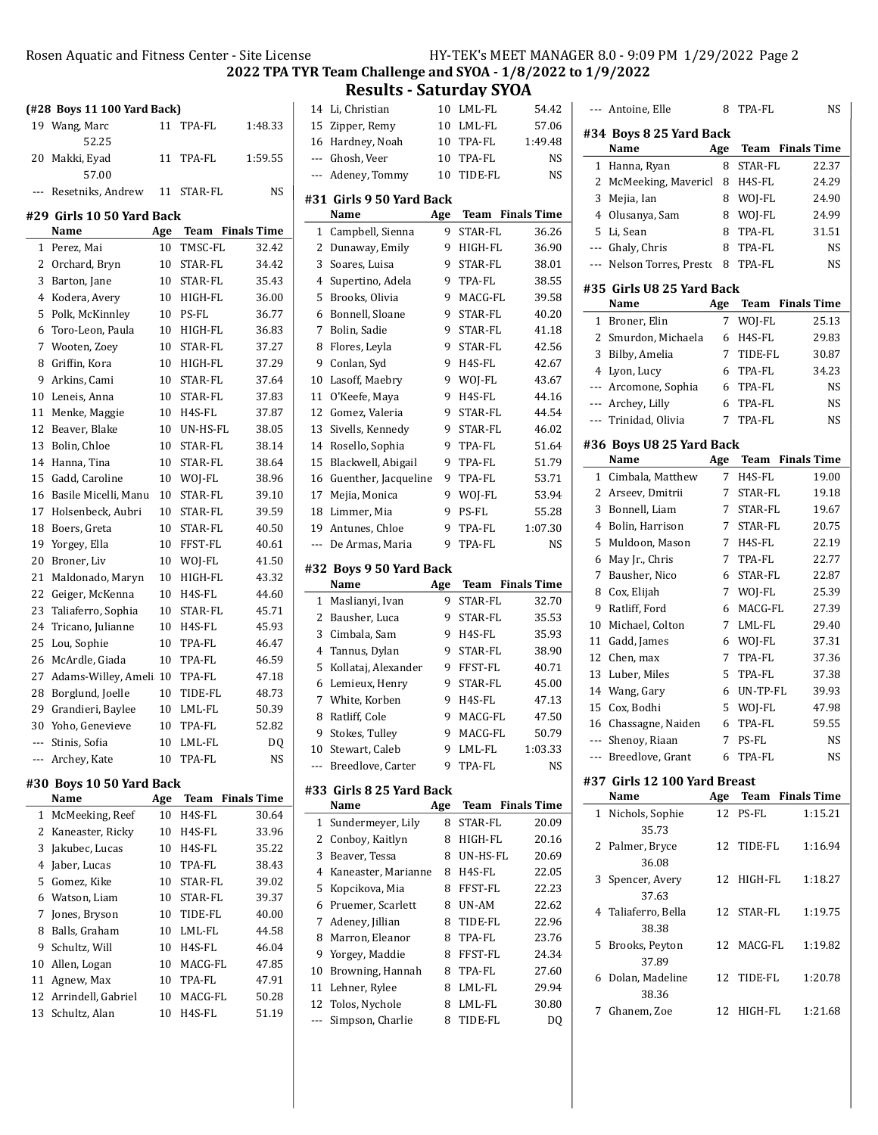$R$ icense  $HY-TEK's MEET MANAGER 8.0 - 9:09 PM 1/29/2022 Page 2$ 

2022 TPA TYR Team Challenge and SYOA - 1/8/2022 to 1/9/2022

|              |                             |     |                         | Rosen Aquatic and Fitness Center - Site Lice<br>2022 TPA |
|--------------|-----------------------------|-----|-------------------------|----------------------------------------------------------|
|              | (#28 Boys 11 100 Yard Back) |     |                         |                                                          |
|              | 19 Wang, Marc               | 11  | TPA-FL                  | 1:48.33                                                  |
|              | 52.25                       |     |                         |                                                          |
| 20           | Makki, Eyad                 | 11  | TPA-FL                  | 1:59.55                                                  |
|              | 57.00                       |     |                         |                                                          |
| ---          | Resetniks, Andrew           | 11  | STAR-FL                 | NS                                                       |
|              | #29 Girls 10 50 Yard Back   |     |                         |                                                          |
|              | Name                        | Age | <b>Team</b> Finals Time |                                                          |
| $\mathbf{1}$ | Perez, Mai                  | 10  | TMSC-FL                 | 32.42                                                    |
| 2            | Orchard, Bryn               | 10  | STAR-FL                 | 34.42                                                    |
| 3            | Barton, Jane                | 10  | STAR-FL                 | 35.43                                                    |
| 4            | Kodera, Avery               | 10  | HIGH-FL                 | 36.00                                                    |
| 5            | Polk, McKinnley             | 10  | PS-FL                   | 36.77                                                    |
| 6            | Toro-Leon, Paula            | 10  | HIGH-FL                 | 36.83                                                    |
| 7            | Wooten, Zoey                | 10  | STAR-FL                 | 37.27                                                    |
| 8            | Griffin, Kora               | 10  | HIGH-FL                 | 37.29                                                    |
| 9            | Arkins, Cami                | 10  | STAR-FL                 | 37.64                                                    |
| 10           | Leneis, Anna                | 10  | STAR-FL                 | 37.83                                                    |
| 11           | Menke, Maggie               | 10  | H4S-FL                  | 37.87                                                    |
| 12           | Beaver, Blake               | 10  | UN-HS-FL                | 38.05                                                    |
| 13           | Bolin, Chloe                | 10  | STAR-FL                 | 38.14                                                    |
| 14           | Hanna, Tina                 | 10  | STAR-FL                 | 38.64                                                    |
| 15           | Gadd, Caroline              | 10  | WOJ-FL                  | 38.96                                                    |
| 16           | Basile Micelli, Manu        | 10  | STAR-FL                 | 39.10                                                    |
| 17           | Holsenbeck, Aubri           | 10  | STAR-FL                 | 39.59                                                    |
| 18           | Boers, Greta                | 10  | STAR-FL                 | 40.50                                                    |
| 19           | Yorgey, Ella                | 10  | FFST-FL                 | 40.61                                                    |
| 20           | Broner, Liv                 | 10  | WOJ-FL                  | 41.50                                                    |
| 21           | Maldonado, Maryn            | 10  | HIGH-FL                 | 43.32                                                    |
| 22           | Geiger, McKenna             | 10  | H4S-FL                  | 44.60                                                    |
| 23           | Taliaferro, Sophia          | 10  | STAR-FL                 | 45.71                                                    |
| 24           | Tricano, Julianne           | 10  | H4S-FL                  | 45.93                                                    |
| 25           | Lou, Sophie                 | 10  | TPA-FL                  | 46.47                                                    |
| 26           | McArdle, Giada              | 10  | TPA-FL                  | 46.59                                                    |
| 27           | Adams-Willey, Ameli 10      |     | TPA-FL                  | 47.18                                                    |
| 28           | Borglund, Joelle            | 10  | TIDE-FL                 | 48.73                                                    |
| 29           | Grandieri, Baylee           | 10  | LML-FL                  | 50.39                                                    |

| --- Archey, Kate         | 10 TPA-FL | NS. |
|--------------------------|-----------|-----|
| #30 Boys 10 50 Yard Back |           |     |

|    | Name                  | Age |         | <b>Team</b> Finals Time |
|----|-----------------------|-----|---------|-------------------------|
|    | 1 McMeeking, Reef     | 10  | H4S-FL  | 30.64                   |
| 2  | Kaneaster, Ricky      | 10  | H4S-FL  | 33.96                   |
|    | 3 Jakubec, Lucas      | 10  | H4S-FL  | 35.22                   |
| 4  | Jaber, Lucas          | 10  | TPA-FL  | 38.43                   |
|    | 5 Gomez, Kike         | 10  | STAR-FL | 39.02                   |
|    | 6 Watson, Liam        | 10  | STAR-FL | 39.37                   |
| 7  | Jones, Bryson         | 10  | TIDE-FL | 40.00                   |
| 8  | Balls, Graham         | 10  | LML-FL  | 44.58                   |
| 9  | Schultz, Will         | 10  | H4S-FL  | 46.04                   |
| 10 | Allen, Logan          | 10  | MACG-FL | 47.85                   |
| 11 | Agnew, Max            | 10  | TPA-FL  | 47.91                   |
|    | 12 Arrindell, Gabriel | 10  | MACG-FL | 50.28                   |
| 13 | Schultz, Alan         | 10  | H4S-FL  | 51.19                   |
|    |                       |     |         |                         |

30 52.82 Yoho, Genevieve 10 TPA-FL --- Stinis, Sofia 10 LML-FL DQ

|       | <b>Results - Saturday SYOA</b>     |                 |                   |                    |  |
|-------|------------------------------------|-----------------|-------------------|--------------------|--|
| 14    | Li, Christian                      | 10 <sup>1</sup> | LML-FL            | 54.42              |  |
| 15    | Zipper, Remy                       | 10              | LML-FL            | 57.06              |  |
| 16    | Hardney, Noah                      | 10              | TPA-FL            | 1:49.48            |  |
| $---$ | Ghosh, Veer                        | 10              | TPA-FL            | NS                 |  |
| ---   | Adeney, Tommy                      | 10              | TIDE-FL           | NS                 |  |
|       | #31  Girls 9 50 Yard Back          |                 |                   |                    |  |
|       | Name                               | Age             | Team              | <b>Finals Time</b> |  |
| 1     | Campbell, Sienna                   | 9               | STAR-FL           | 36.26              |  |
| 2     | Dunaway, Emily                     | 9               | HIGH-FL           | 36.90              |  |
| 3     | Soares, Luisa                      | 9               | <b>STAR-FL</b>    | 38.01              |  |
| 4     | Supertino, Adela                   | 9               | TPA-FL            | 38.55              |  |
| 5     | Brooks, Olivia                     | 9               | MACG-FL           | 39.58              |  |
| 6     | Bonnell, Sloane                    | 9               | STAR-FL           | 40.20              |  |
| 7     | Bolin, Sadie                       | 9               | STAR-FL           | 41.18              |  |
| 8     | Flores, Leyla                      | 9               | STAR-FL           | 42.56              |  |
| 9     | Conlan, Syd                        | 9               | H4S-FL            | 42.67              |  |
| 10    | Lasoff, Maebry                     | 9               | WOJ-FL            | 43.67              |  |
| 11    | O'Keefe, Maya                      | 9               | H4S-FL            | 44.16              |  |
| 12    | Gomez, Valeria                     | 9               | STAR-FL           | 44.54              |  |
| 13    | Sivells, Kennedy                   | 9               | STAR-FL           | 46.02              |  |
| 14    | Rosello, Sophia                    | 9               | TPA-FL            | 51.64              |  |
| 15    | Blackwell, Abigail                 | 9               | TPA-FL            | 51.79              |  |
| 16    | Guenther, Jacqueline               | 9               | TPA-FL            | 53.71              |  |
| 17    | Mejia, Monica                      | 9               | WOJ-FL            | 53.94              |  |
| 18    | Limmer, Mia                        | 9               | PS-FL             | 55.28              |  |
| 19    | Antunes, Chloe                     | 9               | TPA-FL            | 1:07.30            |  |
| ---   | De Armas, Maria                    | 9               | TPA-FL            | NS                 |  |
|       |                                    |                 |                   |                    |  |
|       |                                    |                 |                   |                    |  |
|       | #32 Boys 9 50 Yard Back            |                 |                   |                    |  |
|       | Name                               | Age             | Team              | <b>Finals Time</b> |  |
| 1     | Maslianyi, Ivan                    | 9               | STAR-FL           | 32.70              |  |
| 2     | Bausher, Luca                      | 9               | STAR-FL           | 35.53              |  |
| 3     | Cimbala, Sam                       | 9               | H4S-FL            | 35.93              |  |
| 4     | Tannus, Dylan                      | 9               | STAR-FL           | 38.90              |  |
| 5     | Kollataj, Alexander                | 9               | FFST-FL           | 40.71              |  |
| 6     | Lemieux, Henry                     | 9               | STAR-FL           | 45.00              |  |
| 7     | White, Korben                      | 9               | H4S-FL            | 47.13              |  |
| 8     | Ratliff, Cole                      | 9               | MACG-FL           | 47.50              |  |
| 9     | Stokes, Tulley                     | 9               | MACG-FL           | 50.79              |  |
| 10    | Stewart, Caleb                     | 9               | LML-FL            | 1:03.33            |  |
| ---   | Breedlove, Carter                  | 9               | TPA-FL            | NS                 |  |
|       | #33  Girls 8 25 Yard Back          |                 |                   |                    |  |
|       | Name                               | Age             | Team              | <b>Finals Time</b> |  |
| 1     | Sundermeyer, Lily                  | 8               | STAR-FL           | 20.09              |  |
| 2     | Conboy, Kaitlyn                    | 8               | HIGH-FL           | 20.16              |  |
| 3     | Beaver, Tessa                      | 8               | UN-HS-FL          | 20.69              |  |
| 4     | Kaneaster, Marianne                | 8               | H4S-FL            | 22.05              |  |
| 5     | Kopcikova, Mia                     | 8               | FFST-FL           | 22.23              |  |
| 6     | Pruemer, Scarlett                  | 8               | UN-AM             | 22.62              |  |
| 7     | Adeney, Jillian                    | 8               | TIDE-FL           | 22.96              |  |
| 8     | Marron, Eleanor                    | 8               | TPA-FL            | 23.76              |  |
| 9     | Yorgey, Maddie                     | 8               | FFST-FL           | 24.34              |  |
| 10    | Browning, Hannah                   | 8               | TPA-FL            | 27.60              |  |
| 11    | Lehner, Rylee                      | 8               | LML-FL            | 29.94              |  |
| 12    | Tolos, Nychole<br>Simpson, Charlie | 8<br>8          | LML-FL<br>TIDE-FL | 30.80<br>DQ        |  |

|       | --- Antoine, Elle            | 8               | TPA-FL                  | NS        |
|-------|------------------------------|-----------------|-------------------------|-----------|
|       | #34 Boys 8 25 Yard Back      |                 |                         |           |
|       | Name                         | Age             | <b>Team</b> Finals Time |           |
| 1     | Hanna, Ryan                  | 8               | STAR-FL                 | 22.37     |
| 2     | McMeeking, Mavericl          | 8               | H4S-FL                  | 24.29     |
| 3     | Mejia, Ian                   | 8               | WOJ-FL                  | 24.90     |
| 4     | Olusanya, Sam                | 8               | WOJ-FL                  | 24.99     |
| 5     | Li, Sean                     | 8               | TPA-FL                  | 31.51     |
| ---   | Ghaly, Chris                 | 8               | TPA-FL                  | NS        |
| $---$ | Nelson Torres, Presto        | 8               | TPA-FL                  | NS        |
|       | #35 Girls U8 25 Yard Back    |                 |                         |           |
|       | Name                         | Age             | <b>Team</b> Finals Time |           |
| 1     | Broner, Elin                 | 7               | WOJ-FL                  | 25.13     |
| 2     | Smurdon, Michaela            | 6               | H4S-FL                  | 29.83     |
| 3     | Bilby, Amelia                | 7               | TIDE-FL                 | 30.87     |
| 4     | Lyon, Lucy                   | 6               | TPA-FL                  | 34.23     |
|       | --- Arcomone, Sophia         | 6               | TPA-FL                  | NS        |
|       | --- Archey, Lilly            | 6               | TPA-FL                  | NS        |
| ---   | Trinidad, Olivia             | 7               | TPA-FL                  | <b>NS</b> |
|       | #36 Boys U8 25 Yard Back     |                 |                         |           |
|       | Name                         | Age             | <b>Team</b> Finals Time |           |
| 1     | Cimbala, Matthew             | 7               | H4S-FL                  | 19.00     |
| 2     | Arseev, Dmitrii              | 7               | STAR-FL                 | 19.18     |
| 3     | Bonnell, Liam                | 7               | STAR-FL                 | 19.67     |
| 4     | Bolin, Harrison              | 7               | STAR-FL                 | 20.75     |
| 5     | Muldoon, Mason               | 7               | H4S-FL                  | 22.19     |
| 6     | May Jr., Chris               | 7               | TPA-FL                  | 22.77     |
| 7     | Bausher, Nico                | 6               | STAR-FL                 | 22.87     |
| 8     | Cox, Elijah                  | 7               | WOJ-FL                  | 25.39     |
| 9     | Ratliff, Ford                | 6               | MACG-FL                 | 27.39     |
| 10    | Michael, Colton              | 7               | LML-FL                  | 29.40     |
| 11    | Gadd, James                  | 6               | WOJ-FL                  | 37.31     |
| 12    | Chen, max                    | 7               | TPA-FL                  | 37.36     |
| 13    | Luber, Miles                 | 5               | TPA-FL                  | 37.38     |
| 14    | Wang, Gary                   | 6               | UN-TP-FL                | 39.93     |
| 15    | Cox, Bodhi                   | 5               | WOJ-FL                  | 47.98     |
| 16    | Chassagne, Naiden            | 6               | TPA-FL                  | 59.55     |
|       | Shenoy, Riaan                | $7\overline{ }$ | PS-FL                   | NS        |
|       | --- Breedlove, Grant         |                 | 6 TPA-FL                | <b>NS</b> |
|       | #37 Girls 12 100 Yard Breast |                 |                         |           |
|       | Name                         |                 | Age Team Finals Time    |           |
|       | 1 Nichols, Sophie<br>35.73   |                 | 12 PS-FL                | 1:15.21   |
| 2     | Palmer, Bryce                | 12              | TIDE-FL                 | 1:16.94   |
|       | 36.08                        |                 |                         |           |
| 3     | Spencer, Avery               | 12              | HIGH-FL                 | 1:18.27   |
| 4     | 37.63<br>Taliaferro, Bella   | 12              | STAR-FL                 | 1:19.75   |
|       | 38.38                        |                 |                         |           |
| 5     | Brooks, Peyton               | 12              | MACG-FL                 | 1:19.82   |
|       | 37.89                        |                 |                         |           |
| 6     | Dolan, Madeline              | 12              | TIDE-FL                 | 1:20.78   |
|       | 38.36                        |                 |                         |           |
| 7     | Ghanem, Zoe                  | 12              | HIGH-FL                 | 1:21.68   |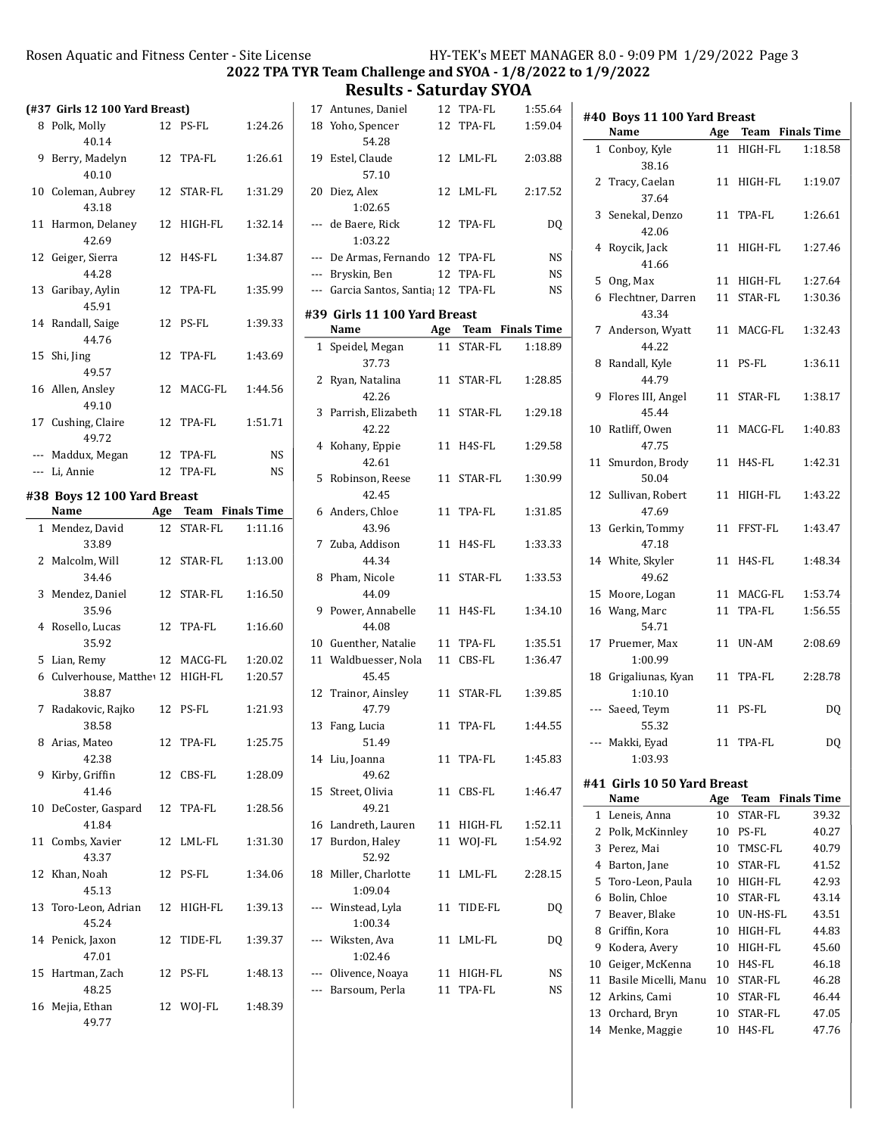Results - Saturday SYOA

|    | (#37 Girls 12 100 Yard Breast)                |    |                      |           |
|----|-----------------------------------------------|----|----------------------|-----------|
|    | 8 Polk, Molly                                 | 12 | PS-FL                | 1:24.26   |
|    | 40.14                                         |    |                      |           |
| 9  | Berry, Madelyn<br>40.10                       |    | 12 TPA-FL            | 1:26.61   |
| 10 | Coleman, Aubrey<br>43.18                      |    | 12 STAR-FL           | 1:31.29   |
| 11 | Harmon, Delaney<br>42.69                      | 12 | HIGH-FL              | 1:32.14   |
| 12 | Geiger, Sierra<br>44.28                       |    | 12 H4S-FL            | 1:34.87   |
| 13 | Garibay, Aylin<br>45.91                       |    | 12 TPA-FL            | 1:35.99   |
| 14 | Randall, Saige<br>44.76                       |    | 12 PS-FL             | 1:39.33   |
| 15 | Shi, Jing<br>49.57                            |    | 12 TPA-FL            | 1:43.69   |
|    | 16 Allen, Ansley<br>49.10                     |    | 12 MACG-FL           | 1:44.56   |
|    | 17 Cushing, Claire<br>49.72                   | 12 | TPA-FL               | 1:51.71   |
|    | --- Maddux, Megan                             |    | 12 TPA-FL            | <b>NS</b> |
|    | --- Li. Annie                                 |    | 12 TPA-FL            | <b>NS</b> |
|    | #38 Boys 12 100 Yard Breast                   |    |                      |           |
|    | Name                                          |    | Age Team Finals Time |           |
| 1  | Mendez, David<br>33.89                        | 12 | STAR-FL              | 1:11.16   |
| 2  | Malcolm, Will<br>34.46                        |    | 12 STAR-FL           | 1:13.00   |
| 3  | Mendez, Daniel<br>35.96                       |    | 12 STAR-FL           | 1:16.50   |
|    | 4 Rosello, Lucas<br>35.92                     |    | 12 TPA-FL            | 1:16.60   |
|    | 5 Lian, Remy                                  |    | 12 MACG-FL           | 1:20.02   |
|    | 6 Culverhouse, Matthe <sup>1</sup> 12 HIGH-FL |    |                      | 1:20.57   |
| 7  | 38.87<br>Radakovic, Rajko                     |    | 12 PS-FL             | 1:21.93   |
|    | 38.58                                         |    |                      |           |
| 8  | Arias, Mateo<br>42.38                         | 12 | TPA-FL               | 1:25.75   |
| 9  | Kirby, Griffin<br>41.46                       |    | 12 CBS-FL            | 1:28.09   |
| 10 | DeCoster, Gaspard<br>41.84                    |    | 12 TPA-FL            | 1:28.56   |
| 11 | Combs, Xavier<br>43.37                        |    | 12 LML-FL            | 1:31.30   |
| 12 | Khan, Noah<br>45.13                           | 12 | PS-FL                | 1:34.06   |
|    | 13 Toro-Leon, Adrian<br>45.24                 | 12 | HIGH-FL              | 1:39.13   |
| 14 |                                               |    |                      |           |
|    | Penick, Jaxon<br>47.01                        | 12 | TIDE-FL              | 1:39.37   |
| 15 | Hartman, Zach<br>48.25                        |    | 12 PS-FL             | 1:48.13   |

|              | 17 Antunes, Daniel                   | 12              | TPA-FL               | 1:55.64   |
|--------------|--------------------------------------|-----------------|----------------------|-----------|
|              | 18 Yoho, Spencer                     | 12              | TPA-FL               | 1:59.04   |
|              | 54.28                                |                 |                      |           |
| 19           | Estel, Claude                        | 12              | LML-FL               | 2:03.88   |
|              | 57.10                                |                 |                      |           |
| 20           | Diez, Alex<br>1:02.65                | 12 <sup>2</sup> | LML-FL               | 2:17.52   |
|              | --- de Baere, Rick                   | 12              | TPA-FL               | DQ        |
|              | 1:03.22                              |                 |                      |           |
|              | --- De Armas, Fernando 12 TPA-FL     |                 |                      | <b>NS</b> |
|              | --- Bryskin, Ben                     |                 | 12 TPA-FL            | <b>NS</b> |
|              | --- Garcia Santos, Santia; 12 TPA-FL |                 |                      | NS        |
|              | #39 Girls 11 100 Yard Breast         |                 |                      |           |
|              | Name                                 |                 | Age Team Finals Time |           |
| $\mathbf{1}$ | Speidel, Megan                       | 11              | STAR-FL              | 1:18.89   |
|              | 37.73                                |                 |                      |           |
| 2            | Ryan, Natalina<br>42.26              |                 | 11 STAR-FL           | 1:28.85   |
| 3            | Parrish, Elizabeth<br>42.22          | 11              | STAR-FL              | 1:29.18   |
| 4            | Kohany, Eppie<br>42.61               | 11              | H4S-FL               | 1:29.58   |
| 5            | Robinson, Reese<br>42.45             | 11              | STAR-FL              | 1:30.99   |
|              | 6 Anders, Chloe<br>43.96             | 11              | TPA-FL               | 1:31.85   |
| 7            | Zuba, Addison                        | 11              | H4S-FL               | 1:33.33   |
| 8            | 44.34<br>Pham, Nicole<br>44.09       | 11              | STAR-FL              | 1:33.53   |
| 9.           | Power, Annabelle<br>44.08            | 11              | H4S-FL               | 1:34.10   |
|              | 10 Guenther, Natalie                 |                 | 11 TPA-FL            | 1:35.51   |
| 11           | Waldbuesser, Nola                    |                 | 11 CBS-FL            | 1:36.47   |
|              | 45.45                                |                 |                      |           |
| 12           | Trainor, Ainsley<br>47.79            | 11              | STAR-FL              | 1:39.85   |
| 13           | Fang, Lucia<br>51.49                 | 11              | TPA-FL               | 1:44.55   |
| 14           | Liu, Joanna<br>49.62                 | 11              | TPA-FL               | 1:45.83   |
| 15           | Street, Olivia<br>49.21              | 11              | CBS-FL               | 1:46.47   |
| 16           | Landreth, Lauren                     | 11              | HIGH-FL              | 1:52.11   |
| 17           | Burdon, Haley                        | 11              | WOJ-FL               | 1:54.92   |
|              | 52.92                                |                 |                      |           |
| 18           | Miller, Charlotte<br>1:09.04         | 11              | LML-FL               | 2:28.15   |
|              | --- Winstead, Lyla<br>1:00.34        | 11              | TIDE-FL              | DQ        |
|              | --- Wiksten, Ava<br>1:02.46          | 11              | LML-FL               | DQ        |
|              | --- Olivence, Noaya                  | 11              | HIGH-FL              | NS        |
|              | Barsoum, Perla                       | 11              | TPA-FL               | NS        |
|              |                                      |                 |                      |           |

|                | #40 Boys 11 100 Yard Breast  |     |                         |         |
|----------------|------------------------------|-----|-------------------------|---------|
|                | Name                         |     | Age Team Finals Time    |         |
|                | 1 Conboy, Kyle<br>38.16      | 11  | HIGH-FL                 | 1:18.58 |
| 2              | Tracy, Caelan<br>37.64       | 11  | HIGH-FL                 | 1:19.07 |
| 3              | Senekal, Denzo<br>42.06      | 11  | TPA-FL                  | 1:26.61 |
| 4              | Roycik, Jack<br>41.66        | 11  | HIGH-FL                 | 1:27.46 |
|                | 5 Ong, Max                   |     | 11 HIGH-FL              | 1:27.64 |
|                | 6 Flechtner, Darren<br>43.34 | 11  | STAR-FL                 | 1:30.36 |
| $\overline{7}$ | Anderson, Wyatt<br>44.22     | 11  | MACG-FL                 | 1:32.43 |
| 8              | Randall, Kyle<br>44.79       | 11  | PS-FL                   | 1:36.11 |
| 9              | Flores III, Angel<br>45.44   | 11  | STAR-FL                 | 1:38.17 |
| 10             | Ratliff, Owen<br>47.75       | 11  | MACG-FL                 | 1:40.83 |
| 11             | Smurdon, Brody<br>50.04      | 11  | H4S-FL                  | 1:42.31 |
| 12             | Sullivan, Robert<br>47.69    | 11  | HIGH-FL                 | 1:43.22 |
| 13             | Gerkin, Tommy<br>47.18       | 11  | FFST-FL                 | 1:43.47 |
|                | 14 White, Skyler<br>49.62    | 11  | H4S-FL                  | 1:48.34 |
|                | 15 Moore, Logan              | 11  | MACG-FL                 | 1:53.74 |
|                | 16 Wang, Marc<br>54.71       | 11  | TPA-FL                  | 1:56.55 |
| 17             | Pruemer, Max<br>1:00.99      | 11  | UN-AM                   | 2:08.69 |
| 18             | Grigaliunas, Kyan<br>1:10.10 | 11  | TPA-FL                  | 2:28.78 |
| ---            | Saeed, Teym<br>55.32         | 11  | PS-FL                   | DQ      |
|                | --- Makki, Eyad<br>1:03.93   | 11  | TPA-FL                  | DQ      |
|                | #41 Girls 10 50 Yard Breast  |     |                         |         |
|                | Name                         | Age | <b>Team</b> Finals Time |         |
| 1              | Leneis, Anna                 | 10  | STAR-FL                 | 39.32   |
| 2              | Polk, McKinnley              | 10  | PS-FL                   | 40.27   |
| 3              | Perez, Mai                   | 10  | TMSC-FL                 | 40.79   |
| 4              | Barton, Jane                 | 10  | STAR-FL                 | 41.52   |
| 5              | Toro-Leon, Paula             | 10  | HIGH-FL                 | 42.93   |
| 6              | Bolin, Chloe                 | 10  | STAR-FL                 | 43.14   |
| 7              | Beaver, Blake                | 10  | UN-HS-FL                | 43.51   |
| 8              | Griffin, Kora                | 10  | HIGH-FL                 | 44.83   |
| 9              | Kodera, Avery                | 10  | HIGH-FL                 | 45.60   |
| 10             | Geiger, McKenna              | 10  | H4S-FL                  | 46.18   |
| 11             | Basile Micelli, Manu         | 10  | STAR-FL                 | 46.28   |
| 12             | Arkins, Cami                 | 10  | STAR-FL                 | 46.44   |
| 13             | Orchard, Bryn                | 10  | STAR-FL                 | 47.05   |
| 14             | Menke, Maggie                | 10  | H4S-FL                  | 47.76   |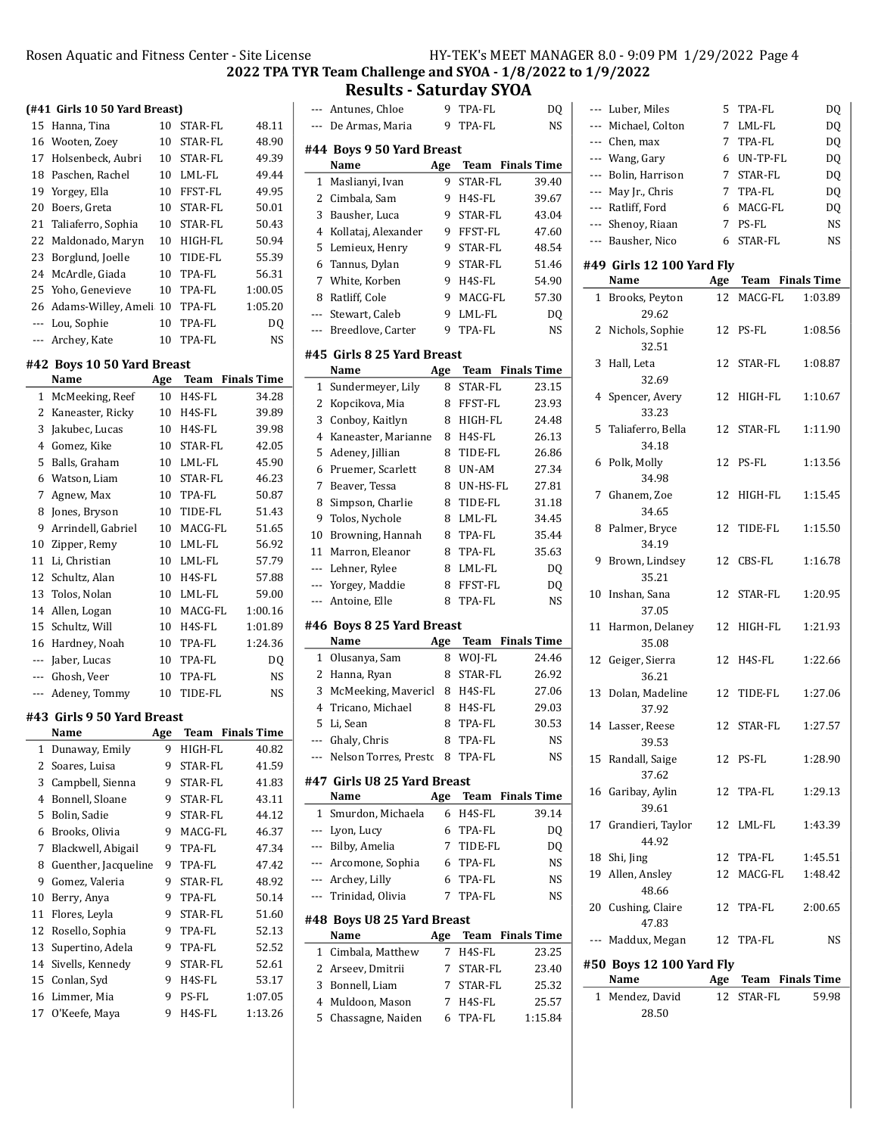# **Results - Saturday SYOA**<br>tunes. Chloe 9 TPA-FL

| $($ #41 $\,$ Girls 10 50 Yard Breast $)$ |     |  |
|------------------------------------------|-----|--|
| 15 Hanna Tina                            | 10S |  |

| 15 | Hanna, Tina               | 10 | STAR-FL | 48.11     |
|----|---------------------------|----|---------|-----------|
|    | 16 Wooten, Zoey           | 10 | STAR-FL | 48.90     |
| 17 | Holsenbeck, Aubri         | 10 | STAR-FL | 49.39     |
| 18 | Paschen, Rachel           | 10 | LML-FL  | 49.44     |
| 19 | Yorgey, Ella              | 10 | FFST-FL | 49.95     |
| 20 | Boers, Greta              | 10 | STAR-FL | 50.01     |
|    | 21 Taliaferro, Sophia     | 10 | STAR-FL | 50.43     |
|    | 22 Maldonado, Maryn       | 10 | HIGH-FL | 50.94     |
|    | 23 Borglund, Joelle       | 10 | TIDE-FL | 55.39     |
|    | 24 McArdle, Giada         | 10 | TPA-FL  | 56.31     |
|    | 25 Yoho, Genevieve        | 10 | TPA-FL  | 1:00.05   |
|    | 26 Adams-Willey, Ameli 10 |    | TPA-FL  | 1:05.20   |
|    | --- Lou, Sophie           | 10 | TPA-FL  | DO        |
|    | --- Archey, Kate          | 10 | TPA-FL  | <b>NS</b> |

## #42 Boys 10 50 Yard Breast

|     | Name               | Age | Team    | <b>Finals Time</b> |
|-----|--------------------|-----|---------|--------------------|
| 1   | McMeeking, Reef    | 10  | H4S-FL  | 34.28              |
| 2   | Kaneaster, Ricky   | 10  | H4S-FL  | 39.89              |
| 3   | Jakubec, Lucas     | 10  | H4S-FL  | 39.98              |
| 4   | Gomez, Kike        | 10  | STAR-FL | 42.05              |
| 5   | Balls, Graham      | 10  | LML-FL  | 45.90              |
| 6   | Watson, Liam       | 10  | STAR-FL | 46.23              |
| 7   | Agnew, Max         | 10  | TPA-FL  | 50.87              |
| 8   | Jones, Bryson      | 10  | TIDE-FL | 51.43              |
| 9   | Arrindell, Gabriel | 10  | MACG-FL | 51.65              |
| 10  | Zipper, Remy       | 10  | LML-FL  | 56.92              |
| 11  | Li, Christian      | 10  | LML-FL  | 57.79              |
| 12  | Schultz, Alan      | 10  | H4S-FL  | 57.88              |
| 13  | Tolos, Nolan       | 10  | LML-FL  | 59.00              |
| 14  | Allen, Logan       | 10  | MACG-FL | 1:00.16            |
| 15  | Schultz, Will      | 10  | H4S-FL  | 1:01.89            |
| 16  | Hardney, Noah      | 10  | TPA-FL  | 1:24.36            |
| --- | Jaber, Lucas       | 10  | TPA-FL  | DQ                 |
| --- | Ghosh, Veer        | 10  | TPA-FL  | NS                 |
| --- | Adeney, Tommy      | 10  | TIDE-FL | <b>NS</b>          |

## #43 Girls 9 50 Yard Breast

|    | Name                 | Age | Team           | <b>Finals Time</b> |
|----|----------------------|-----|----------------|--------------------|
| 1  | Dunaway, Emily       | 9   | HIGH-FL        | 40.82              |
| 2  | Soares, Luisa        | 9   | STAR-FL        | 41.59              |
| 3  | Campbell, Sienna     | 9   | STAR-FL        | 41.83              |
| 4  | Bonnell, Sloane      | 9   | STAR-FL        | 43.11              |
| 5  | Bolin, Sadie         | 9   | STAR-FL        | 44.12              |
| 6  | Brooks, Olivia       | 9   | MACG-FL        | 46.37              |
| 7  | Blackwell, Abigail   | 9   | TPA-FL         | 47.34              |
| 8  | Guenther, Jacqueline | 9   | TPA-FL         | 47.42              |
| 9  | Gomez, Valeria       | 9   | STAR-FL        | 48.92              |
| 10 | Berry, Anya          | 9   | TPA-FL         | 50.14              |
| 11 | Flores, Leyla        | 9   | <b>STAR-FL</b> | 51.60              |
| 12 | Rosello, Sophia      | 9   | TPA-FL         | 52.13              |
| 13 | Supertino, Adela     | 9   | TPA-FL         | 52.52              |
| 14 | Sivells, Kennedy     | 9   | STAR-FL        | 52.61              |
| 15 | Conlan, Syd          | 9   | H4S-FL         | 53.17              |
| 16 | Limmer, Mia          | 9   | PS-FL          | 1:07.05            |
| 17 | O'Keefe, Maya        | 9   | H4S-FL         | 1:13.26            |

|                | --- Antunes, Chloe                  | 9      | TPA-FL               | DQ                      |
|----------------|-------------------------------------|--------|----------------------|-------------------------|
|                | --- De Armas, Maria                 | 9      | TPA-FL               | NS                      |
|                |                                     |        |                      |                         |
|                | #44 Boys 9 50 Yard Breast<br>Name   | Age    |                      | <b>Team</b> Finals Time |
| 1              | Maslianyi, Ivan                     | 9      | STAR-FL              | 39.40                   |
| 2              | Cimbala, Sam                        | 9      | H4S-FL               | 39.67                   |
| 3              | Bausher, Luca                       | 9      | STAR-FL              | 43.04                   |
| 4              | Kollataj, Alexander                 | 9      | FFST-FL              | 47.60                   |
| 5              | Lemieux, Henry                      | 9      | STAR-FL              | 48.54                   |
| 6              | Tannus, Dylan                       | 9      | STAR-FL              | 51.46                   |
| 7              | White, Korben                       | 9      | H4S-FL               | 54.90                   |
| 8              | Ratliff, Cole                       | 9      | MACG-FL              | 57.30                   |
| $---$          | Stewart, Caleb                      | 9      | LML-FL               | DQ                      |
| ---            | Breedlove, Carter                   | 9      | TPA-FL               | NS                      |
|                |                                     |        |                      |                         |
|                | #45 Girls 8 25 Yard Breast          |        |                      |                         |
|                | Name                                | Age    |                      | <b>Team</b> Finals Time |
| 1              | Sundermeyer, Lily                   | 8      | STAR-FL              | 23.15                   |
| 2              | Kopcikova, Mia                      | 8      | FFST-FL              | 23.93                   |
| 3              | Conboy, Kaitlyn                     | 8      | HIGH-FL              | 24.48                   |
| 4              | Kaneaster, Marianne                 | 8      | H4S-FL               | 26.13                   |
| 5              | Adeney, Jillian                     | 8      | TIDE-FL              | 26.86                   |
| 6              | Pruemer, Scarlett                   | 8      | UN-AM                | 27.34                   |
| 7              | Beaver, Tessa                       | 8      | UN-HS-FL             | 27.81                   |
| 8              | Simpson, Charlie                    | 8      | TIDE-FL              | 31.18                   |
| 9              | Tolos, Nychole                      | 8      | LML-FL               | 34.45                   |
| 10             | Browning, Hannah                    | 8      | TPA-FL               | 35.44                   |
| 11             | Marron, Eleanor                     | 8      | TPA-FL               | 35.63                   |
| ---            | Lehner, Rylee                       | 8      | LML-FL               | DQ                      |
| ---            | Yorgey, Maddie                      | 8      | FFST-FL              | DQ                      |
| ---            | Antoine, Elle                       | 8      | TPA-FL               | NS                      |
|                | #46 Boys 8 25 Yard Breast           |        |                      |                         |
|                | Name                                | Age    |                      | <b>Team</b> Finals Time |
| 1              | Olusanya, Sam                       | 8      | WOJ-FL               | 24.46                   |
| 2              | Hanna, Ryan                         | 8      | STAR-FL              | 26.92                   |
| 3              | McMeeking, Mavericl                 | 8      | H4S-FL               | 27.06                   |
| $\overline{4}$ | Tricano, Michael                    | 8      | H4S-FL               | 29.03                   |
| 5              | Li, Sean                            | 8      | TPA-FL               | 30.53                   |
|                | --- Ghaly, Chris                    | 8      | TPA-FL               | <b>NS</b>               |
|                | Nelson Torres, Presto 8             |        | TPA-FL               | NS                      |
|                | #47  Girls U8 25 Yard Breast        |        |                      |                         |
|                | Name                                | Age    | Team Finals Time     |                         |
| 1              | Smurdon, Michaela                   |        | 6 H4S-FL             | 39.14                   |
|                | --- Lyon, Lucy                      | 6      | TPA-FL               | DO                      |
|                | --- Bilby, Amelia                   | 7      | TIDE-FL              | DQ                      |
|                | --- Arcomone, Sophia                | 6      | <b>TPA-FL</b>        | NS                      |
|                | --- Archey, Lilly                   | 6      | TPA-FL               | NS                      |
|                | --- Trinidad, Olivia                | 7      | TPA-FL               | NS                      |
|                |                                     |        |                      |                         |
|                | #48 Boys U8 25 Yard Breast          |        |                      |                         |
|                | Name                                |        | Age Team Finals Time |                         |
| 1<br>2         | Cimbala, Matthew                    | 7      | H4S-FL               | 23.25                   |
|                |                                     |        |                      |                         |
|                | Arseev, Dmitrii                     | 7      | STAR-FL              | 23.40                   |
| 3              | Bonnell, Liam                       | 7      | STAR-FL              | 25.32                   |
| 4<br>5         | Muldoon, Mason<br>Chassagne, Naiden | 7<br>6 | H4S-FL<br>TPA-FL     | 25.57<br>1:15.84        |

|     | --- Luber, Miles                              | 5               | TPA-FL                  | DQ        |
|-----|-----------------------------------------------|-----------------|-------------------------|-----------|
|     | --- Michael, Colton                           | 7               | LML-FL                  | DQ        |
|     | --- Chen, max                                 | 7               | TPA-FL                  | DQ        |
| --- | Wang, Gary                                    | 6               | UN-TP-FL                | DQ        |
| --- | Bolin, Harrison                               | 7               | STAR-FL                 | DQ        |
|     | --- May Jr., Chris                            | $7\overline{ }$ | TPA-FL                  | DQ        |
| --- | Ratliff, Ford                                 | 6               | MACG-FL                 | DQ        |
|     | --- Shenoy, Riaan                             | 7               | PS-FL                   | <b>NS</b> |
|     | --- Bausher, Nico                             | 6               | STAR-FL                 | NS        |
|     | #49 Girls 12 100 Yard Fly                     |                 |                         |           |
|     | Name                                          | Age             | <b>Team</b> Finals Time |           |
| 1   | Brooks, Peyton<br>29.62                       | 12              | MACG-FL                 | 1:03.89   |
| 2   | Nichols, Sophie<br>32.51                      | 12              | PS-FL                   | 1:08.56   |
| 3   | Hall, Leta<br>32.69                           | 12              | STAR-FL                 | 1:08.87   |
| 4   | Spencer, Avery<br>33.23                       | 12              | HIGH-FL                 | 1:10.67   |
| 5   | Taliaferro, Bella<br>34.18                    | 12              | STAR-FL                 | 1:11.90   |
| 6   | Polk, Molly<br>34.98                          | 12              | PS-FL                   | 1:13.56   |
| 7   | Ghanem, Zoe<br>34.65                          | 12              | HIGH-FL                 | 1:15.45   |
| 8   | Palmer, Bryce<br>34.19                        | 12              | TIDE-FL                 | 1:15.50   |
| 9   | Brown, Lindsey<br>35.21                       | 12              | CBS-FL                  | 1:16.78   |
| 10  | Inshan, Sana<br>37.05                         | 12              | STAR-FL                 | 1:20.95   |
| 11  | Harmon, Delaney<br>35.08                      | 12              | HIGH-FL                 | 1:21.93   |
| 12  | Geiger, Sierra<br>36.21                       | 12              | H4S-FL                  | 1:22.66   |
| 13  | Dolan, Madeline<br>37.92                      | 12              | TIDE-FL                 | 1:27.06   |
|     | 14 Lasser, Reese<br>39.53                     | 12              | <b>STAR-FL</b>          | 1:27.57   |
|     | 15 Randall, Saige<br>37.62                    | 12              | PS-FL                   | 1:28.90   |
| 16  | Garibay, Aylin<br>39.61                       | 12              | TPA-FL                  | 1:29.13   |
|     | 17 Grandieri, Taylor<br>44.92                 |                 | 12 LML-FL               | 1:43.39   |
|     | 18 Shi, Jing                                  |                 | 12 TPA-FL               | 1:45.51   |
|     | 19 Allen, Ansley<br>48.66                     |                 | 12 MACG-FL              | 1:48.42   |
|     | 20 Cushing, Claire<br>47.83                   | 12              | TPA-FL                  | 2:00.65   |
|     | --- Maddux, Megan<br>#50 Boys 12 100 Yard Fly |                 | 12 TPA-FL               | NS        |
|     | Name                                          |                 | Age Team Finals Time    |           |
|     | 1 Mendez, David                               |                 | 12 STAR-FL              | 59.98     |
|     | 28.50                                         |                 |                         |           |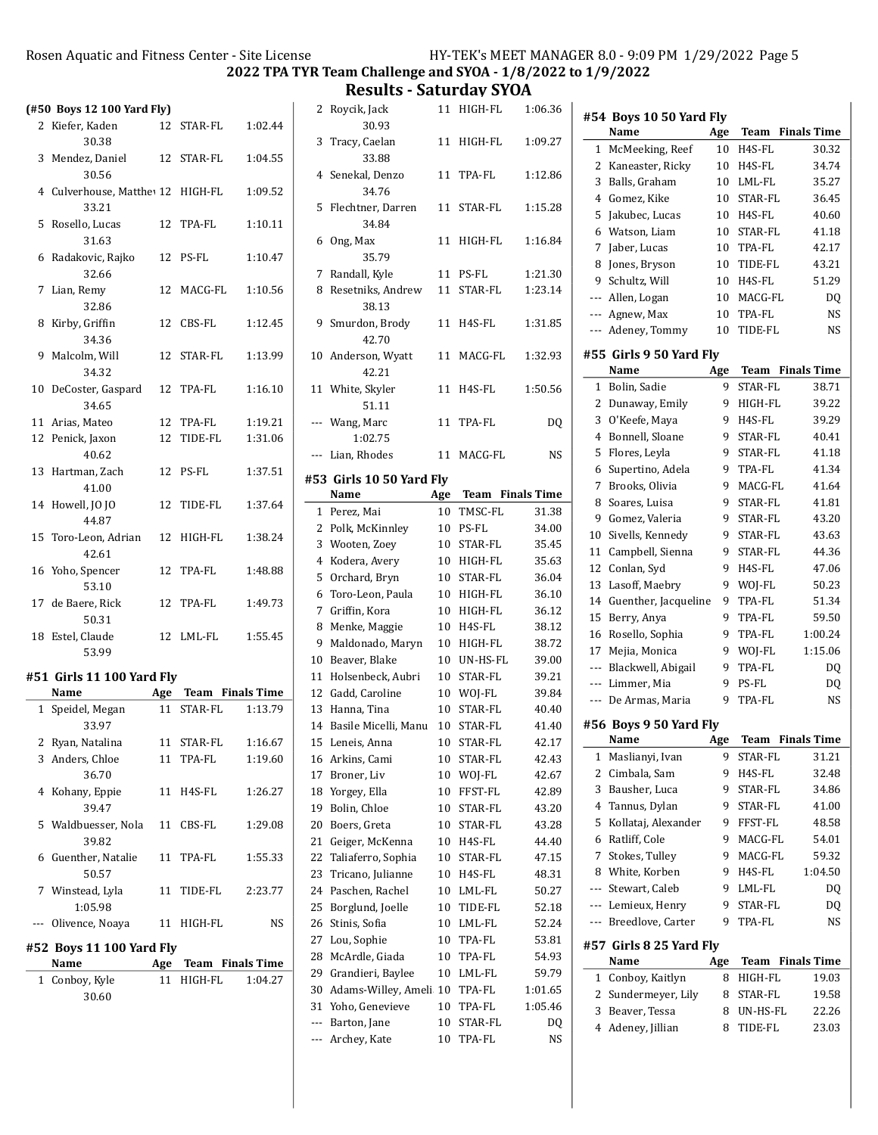Results - Saturday SYOA

|    | Rosen Aquatic and Fitness Center - Site Lice         |    |                | <b>2022 TPA</b> |
|----|------------------------------------------------------|----|----------------|-----------------|
|    | (#50 Boys 12 100 Yard Fly)                           |    |                |                 |
|    | 2 Kiefer, Kaden<br>30.38                             | 12 | <b>STAR-FL</b> | 1:02.44         |
|    | 3 Mendez, Daniel<br>30.56                            |    | 12 STAR-FL     | 1:04.55         |
|    | 4 Culverhouse, Matthe <sup>12</sup> HIGH-FL<br>33.21 |    |                | 1:09.52         |
| 5  | Rosello, Lucas<br>31.63                              | 12 | TPA-FL         | 1:10.11         |
| 6  | Radakovic, Rajko<br>32.66                            | 12 | PS-FL          | 1:10.47         |
| 7  | Lian, Remy<br>32.86                                  | 12 | MACG-FL        | 1:10.56         |
| 8  | Kirby, Griffin<br>34.36                              | 12 | CBS-FL         | 1:12.45         |
|    | 9 Malcolm, Will<br>34.32                             | 12 | STAR-FL        | 1:13.99         |
| 10 | DeCoster, Gaspard<br>34.65                           | 12 | TPA-FL         | 1:16.10         |
|    | 11 Arias, Mateo                                      |    | 12 TPA-FL      | 1:19.21         |
| 12 | Penick, Jaxon<br>40.62                               | 12 | TIDE-FL        | 1:31.06         |
| 13 | Hartman, Zach<br>41.00                               | 12 | PS-FL          | 1:37.51         |
|    | 14 Howell, JO JO<br>44.87                            | 12 | TIDE-FL        | 1:37.64         |
| 15 | Toro-Leon, Adrian<br>42.61                           | 12 | HIGH-FL        | 1:38.24         |
|    | 16 Yoho, Spencer<br>53.10                            | 12 | TPA-FL         | 1:48.88         |
|    | 17 de Baere, Rick                                    | 12 | <b>TPA-FL</b>  | 1:49.73         |

# 53.99 #51 Girls 11 100 Yard Fly

50.31

| Name                     | Age | <b>Team</b> Finals Time |         |
|--------------------------|-----|-------------------------|---------|
| 1 Speidel, Megan         |     | 11 STAR-FL              | 1:13.79 |
| 33.97                    |     |                         |         |
| 2 Ryan, Natalina         |     | 11 STAR-FL              | 1:16.67 |
| 3 Anders, Chloe          |     | 11 TPA-FL               | 1:19.60 |
| 36.70                    |     |                         |         |
| 4 Kohany, Eppie          |     | 11 H4S-FL               | 1:26.27 |
| 39.47                    |     |                         |         |
| 5 Waldbuesser, Nola      |     | 11 CBS-FL               | 1:29.08 |
| 39.82                    |     |                         |         |
| 6 Guenther, Natalie      |     | 11 TPA-FL               | 1:55.33 |
| 50.57                    |     |                         |         |
| 7 Winstead, Lyla         |     | 11 TIDE-FL              | 2:23.77 |
| 1:05.98                  |     |                         |         |
| Olivence, Noava          |     | 11 HIGH-FL              | NS      |
| #52 Boys 11 100 Yard Fly |     |                         |         |
| Name                     |     | Age Team Finals Time    |         |
| 1 Conboy, Kyle           | 11  | HIGH-FL                 | 1:04.27 |
| 30.60                    |     |                         |         |
|                          |     |                         |         |

18 1:55.45 Estel, Claude 12 LML-FL

| 2              | Roycik, Jack                 | 11       | HIGH-FL                 | 1:06.36  |
|----------------|------------------------------|----------|-------------------------|----------|
|                | 30.93                        |          |                         |          |
| 3              | Tracy, Caelan<br>33.88       | 11       | HIGH-FL                 | 1:09.27  |
| 4              | Senekal, Denzo               | 11       | TPA-FL                  | 1:12.86  |
|                | 34.76                        |          |                         |          |
| 5              | Flechtner, Darren            | 11       | STAR-FL                 | 1:15.28  |
|                | 34.84                        |          |                         |          |
| 6              | Ong, Max                     | 11       | HIGH-FL                 | 1:16.84  |
|                | 35.79                        |          |                         |          |
| 7              | Randall, Kyle                | 11       | PS-FL                   | 1:21.30  |
| 8              | Resetniks, Andrew            | 11       | STAR-FL                 | 1:23.14  |
|                | 38.13                        |          |                         |          |
| 9              | Smurdon, Brody               | 11       | H4S-FL                  | 1:31.85  |
|                | 42.70                        |          |                         |          |
|                | 10 Anderson, Wyatt           | 11       | MACG-FL                 | 1:32.93  |
|                | 42.21                        |          |                         |          |
| 11             | White, Skyler                | 11       | H4S-FL                  | 1:50.56  |
|                | 51.11                        |          |                         |          |
|                | --- Wang, Marc               | 11       | TPA-FL                  | DQ       |
|                | 1:02.75                      |          |                         |          |
| ---            | Lian, Rhodes                 | 11       | MACG-FL                 | NS       |
|                | #53 Girls 10 50 Yard Fly     |          |                         |          |
|                | Name                         | Age      | <b>Team</b> Finals Time |          |
| 1              | Perez, Mai                   | 10       | TMSC-FL                 | 31.38    |
| 2              | Polk, McKinnley              | 10       | PS-FL                   | 34.00    |
| 3              | Wooten, Zoey                 | 10       | STAR-FL                 | 35.45    |
| $\overline{4}$ | Kodera, Avery                | 10       | HIGH-FL                 | 35.63    |
| 5              | Orchard, Bryn                |          |                         |          |
|                |                              | 10       | STAR-FL                 | 36.04    |
| 6              | Toro-Leon, Paula             | 10       | HIGH-FL                 | 36.10    |
| 7              | Griffin, Kora                | 10       | HIGH-FL                 | 36.12    |
| 8              | Menke, Maggie                | 10       | H4S-FL                  | 38.12    |
| 9              | Maldonado, Maryn             | 10       | HIGH-FL                 | 38.72    |
| 10             | Beaver, Blake                | 10       | UN-HS-FL                | 39.00    |
| 11             | Holsenbeck, Aubri            | 10       | STAR-FL                 | 39.21    |
|                | 12 Gadd, Caroline            | 10       | WOJ-FL                  | 39.84    |
| 13             | Hanna, Tina                  | 10       | STAR-FL                 | 40.40    |
| 14             | Basile Micelli, Manu         | 10       | STAR-FL                 | 41.40    |
|                | 15 Leneis, Anna              |          | 10 STAR-FL              | 42.17    |
|                | 16 Arkins, Cami              | 10       | STAR-FL                 | 42.43    |
| 17             | Broner, Liv                  | 10       | WOJ-FL                  | 42.67    |
| 18             | Yorgey, Ella                 | 10       | FFST-FL                 | 42.89    |
| 19             | Bolin, Chloe                 | 10       | STAR-FL                 | 43.20    |
| 20             | Boers, Greta                 | 10       | STAR-FL                 | 43.28    |
| 21             | Geiger, McKenna              | 10       | H4S-FL                  | 44.40    |
| 22             | Taliaferro, Sophia           | 10       | STAR-FL                 | 47.15    |
| 23             | Tricano, Julianne            | 10       | H4S-FL                  | 48.31    |
| 24             | Paschen, Rachel              | 10       | LML-FL                  | 50.27    |
| 25             | Borglund, Joelle             | 10       | TIDE-FL                 | 52.18    |
| 26             | Stinis, Sofia                | 10       | LML-FL                  | 52.24    |
| 27             | Lou, Sophie                  | 10       | TPA-FL                  | 53.81    |
| 28             | McArdle, Giada               | 10       | TPA-FL                  | 54.93    |
| 29             | Grandieri, Baylee            | 10       | LML-FL                  | 59.79    |
| 30             | Adams-Willey, Ameli 10       |          | TPA-FL                  | 1:01.65  |
| 31             | Yoho, Genevieve              | 10       | TPA-FL                  | 1:05.46  |
| ---<br>---     | Barton, Jane<br>Archey, Kate | 10<br>10 | STAR-FL<br>TPA-FL       | DQ<br>NS |

|              | #54 Boys 10 50 Yard Fly           |        |                  |                    |
|--------------|-----------------------------------|--------|------------------|--------------------|
|              | Name                              | Age    | Team             | <b>Finals Time</b> |
| 1            | McMeeking, Reef                   | 10     | H4S-FL           | 30.32              |
| 2            | Kaneaster, Ricky                  | 10     | H4S-FL           | 34.74              |
| 3            | Balls, Graham                     | 10     | LML-FL           | 35.27              |
| 4            | Gomez, Kike                       | 10     | STAR-FL          | 36.45              |
| 5            | Jakubec, Lucas                    | 10     | H4S-FL           | 40.60              |
| 6            | Watson, Liam                      | 10     | STAR-FL          | 41.18              |
| 7            | Jaber, Lucas                      | 10     | TPA-FL           | 42.17              |
| 8            | Jones, Bryson                     | 10     | TIDE-FL          | 43.21              |
| 9            | Schultz, Will                     | 10     | H4S-FL           | 51.29              |
| ---          | Allen, Logan                      | 10     | MACG-FL          | DQ                 |
| ---          | Agnew, Max                        | 10     | TPA-FL           | NS                 |
| ---          | Adeney, Tommy                     | 10     | TIDE-FL          | NS                 |
|              | #55 Girls 9 50 Yard Fly           |        |                  |                    |
|              | Name                              | Age    | Team             | <b>Finals Time</b> |
| $\mathbf{1}$ | Bolin, Sadie                      | 9      | <b>STAR-FL</b>   | 38.71              |
| 2            | Dunaway, Emily                    | 9      | HIGH-FL          | 39.22              |
| 3            | O'Keefe, Maya                     | 9      | H4S-FL           | 39.29              |
| 4            | Bonnell, Sloane                   | 9      | STAR-FL          | 40.41              |
| 5            | Flores, Leyla                     | 9      | STAR-FL          | 41.18              |
| 6            | Supertino, Adela                  | 9      | TPA-FL           | 41.34              |
| 7            | Brooks, Olivia                    | 9      | MACG-FL          | 41.64              |
| 8            | Soares, Luisa                     | 9      | STAR-FL          | 41.81              |
| 9            | Gomez, Valeria                    | 9      | STAR-FL          | 43.20              |
| 10           | Sivells, Kennedy                  | 9      | STAR-FL          | 43.63              |
| 11           | Campbell, Sienna                  | 9      | STAR-FL          | 44.36              |
| 12           | Conlan, Syd                       | 9      | H4S-FL           | 47.06              |
| 13           | Lasoff, Maebry                    | 9      | WOJ-FL           | 50.23              |
| 14           | Guenther, Jacqueline              | 9      | TPA-FL           | 51.34              |
| 15           | Berry, Anya                       | 9      | TPA-FL           | 59.50              |
| 16<br>17     | Rosello, Sophia                   | 9<br>9 | TPA-FL           | 1:00.24<br>1:15.06 |
| $---$        | Mejia, Monica                     | 9      | WOJ-FL<br>TPA-FL | D <sub>0</sub>     |
| $---$        | Blackwell, Abigail<br>Limmer, Mia | 9      | PS-FL            | D <sub>0</sub>     |
| ---          | De Armas, Maria                   | 9      | TPA-FL           | NS                 |
|              |                                   |        |                  |                    |
|              | #56 Boys 9 50 Yard Fly<br>Name    | Age    | Team             | <b>Finals Time</b> |
| 1            | Maslianyi, Ivan                   | 9      | STAR-FL          | 31.21              |
| 2            | Cimbala, Sam                      | 9      | H4S-FL           | 32.48              |
| 3            | Bausher, Luca                     | 9      | STAR-FL          | 34.86              |
| 4            | Tannus, Dylan                     | 9      | STAR-FL          | 41.00              |
| 5            | Kollataj, Alexander               | 9      | FFST-FL          | 48.58              |
| 6            | Ratliff, Cole                     | 9      | MACG-FL          | 54.01              |
| 7            | Stokes, Tulley                    | 9      | MACG-FL          | 59.32              |
| 8            | White, Korben                     | 9      | H4S-FL           | 1:04.50            |
| ---          | Stewart, Caleb                    | 9      | LML-FL           | DQ                 |
| ---          | Lemieux, Henry                    | 9      | STAR-FL          | DQ                 |
| ---          | Breedlove, Carter                 | 9      | TPA-FL           | NS                 |
|              |                                   |        |                  |                    |
|              | #57 Girls 8 25 Yard Fly<br>Name   | Age    | Team             | <b>Finals Time</b> |
| 1            | Conboy, Kaitlyn                   | 8      | HIGH-FL          | 19.03              |
| 2            | Sundermeyer, Lily                 | 8      | STAR-FL          | 19.58              |
| 3            | Beaver, Tessa                     | 8      | UN-HS-FL         | 22.26              |
| 4            | Adeney, Jillian                   | 8      | TIDE-FL          | 23.03              |
|              |                                   |        |                  |                    |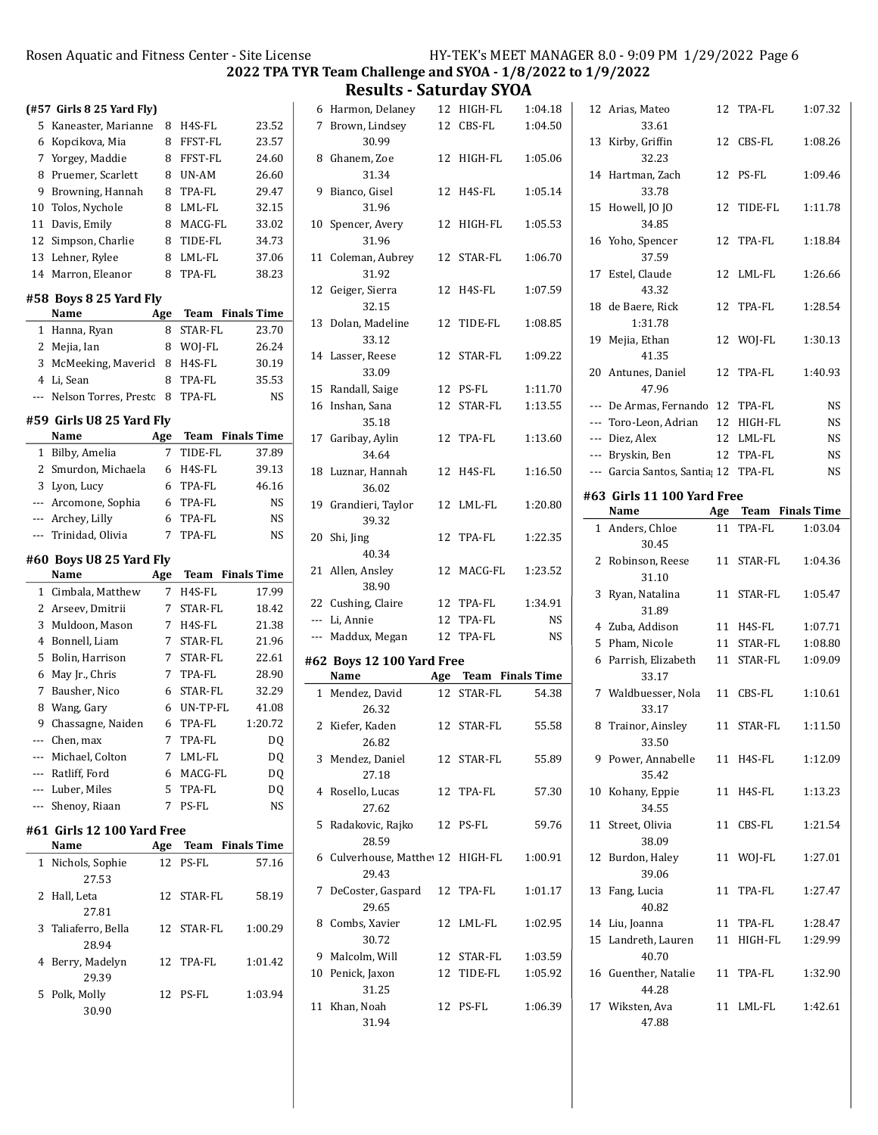2022 TPA TYR Team Challenge and SYOA - 1/8/2022 to 1/9/2022

Results - Saturday SYOA

|     |                           |     |                         | <b>2022 TPA</b>    |
|-----|---------------------------|-----|-------------------------|--------------------|
|     | (#57 Girls 8 25 Yard Fly) |     |                         |                    |
| 5   | Kaneaster, Marianne       | 8   | H4S-FL                  | 23.52              |
| 6   | Kopcikova, Mia            | 8   | FFST-FL                 | 23.57              |
|     | 7 Yorgey, Maddie          | 8   | FFST-FL                 | 24.60              |
| 8   | Pruemer, Scarlett         | 8   | UN-AM                   | 26.60              |
| 9   | Browning, Hannah          | 8   | TPA-FL                  | 29.47              |
| 10  | Tolos, Nychole            | 8   | LML-FL                  | 32.15              |
| 11  | Davis, Emily              | 8   | MACG-FL                 | 33.02              |
|     | 12 Simpson, Charlie       | 8   | TIDE-FL                 | 34.73              |
|     | 13 Lehner, Rylee          | 8   | LML-FL                  | 37.06              |
|     | 14 Marron, Eleanor        | 8   | TPA-FL                  | 38.23              |
|     | #58 Boys 8 25 Yard Fly    |     |                         |                    |
|     | Name                      | Age | Team                    | <b>Finals Time</b> |
| 1   | Hanna, Ryan               | 8   | STAR-FL                 | 23.70              |
|     | 2 Mejia, Ian              | 8   | WOJ-FL                  | 26.24              |
|     | 3 McMeeking, Mavericl     | 8   | H4S-FL                  | 30.19              |
|     | 4 Li, Sean                | 8   | TPA-FL                  | 35.53              |
| --- | Nelson Torres, Presto     | 8   | TPA-FL                  | <b>NS</b>          |
|     | #59 Girls U8 25 Yard Fly  |     |                         |                    |
|     | Name                      | Age | Team                    | <b>Finals Time</b> |
|     | 1 Bilby, Amelia           | 7   | TIDE-FL                 | 37.89              |
|     | 2 Smurdon, Michaela       | 6   | H4S-FL                  | 39.13              |
|     | 3 Lyon, Lucy              | 6   | TPA-FL                  | 46.16              |
|     | --- Arcomone, Sophia      | 6   | TPA-FL                  | NS                 |
|     | --- Archey, Lilly         | 6   | TPA-FL                  | NS                 |
|     | --- Trinidad, Olivia      | 7   | TPA-FL                  | <b>NS</b>          |
|     | #60 Boys U8 25 Yard Fly   |     |                         |                    |
|     | Name                      | Age | <b>Team</b> Finals Time |                    |
| 1   | Cimbala, Matthew          | 7   | H4S-FL                  | 17.99              |
|     | 2 Arseev, Dmitrii         | 7   | STAR-FL                 | 18.42              |
|     | 3 Muldoon, Mason          | 7   | H4S-FL                  | 21.38              |
| 4   | Bonnell, Liam             | 7   | STAR-FL                 | 21.96              |
| 5   | Bolin, Harrison           | 7   | STAR-FL                 | 22.61              |
| 6   | May Jr., Chris            | 7   | TPA-FL                  | 28.90              |
| 7   | Bausher, Nico             | 6   | <b>STAR-FL</b>          | 32.29              |
| 8   | Wang, Gary                | 6   | UN-TP-FL                | 41.08              |
|     | 9 Chassagne, Naiden       | 6   | TPA-FL                  | 1:20.72            |
|     | --- Chen, max             | 7   | TPA-FL                  | DQ                 |
|     | --- Michael, Colton       | 7   | LML-FL                  | DQ                 |
| --- | Ratliff, Ford             | 6   | MACG-FL                 | DQ                 |

| #61 Girls 12 100 Yard Free |  |  |
|----------------------------|--|--|

| Name                | Age |            | <b>Team</b> Finals Time |
|---------------------|-----|------------|-------------------------|
| 1 Nichols, Sophie   |     | 12 PS-FL   | 57.16                   |
| 27.53               |     |            |                         |
| 2 Hall, Leta        |     | 12 STAR-FL | 58.19                   |
| 27.81               |     |            |                         |
| 3 Taliaferro, Bella |     | 12 STAR-FL | 1:00.29                 |
| 28.94               |     |            |                         |
| 4 Berry, Madelyn    |     | 12 TPA-FL  | 1:01.42                 |
| 29.39               |     |            |                         |
| 5 Polk, Molly       |     | 12 PS-FL   | 1:03.94                 |
| 30.90               |     |            |                         |

--- Luber, Miles 5 TPA-FL DQ --- Shenoy, Riaan 7 PS-FL NS

|    | 6 Harmon, Delaney               |    | 12 HIGH-FL           | 1:04.18   |  |
|----|---------------------------------|----|----------------------|-----------|--|
|    | 7 Brown, Lindsey                |    | 12 CBS-FL            | 1:04.50   |  |
|    | 30.99                           |    |                      |           |  |
|    | 8 Ghanem, Zoe                   |    | 12 HIGH-FL           | 1:05.06   |  |
|    | 31.34                           |    |                      |           |  |
|    | 9 Bianco, Gisel                 |    | 12 H4S-FL            | 1:05.14   |  |
|    | 31.96                           |    |                      |           |  |
|    | 10 Spencer, Avery               |    | 12 HIGH-FL           | 1:05.53   |  |
|    | 31.96                           |    |                      |           |  |
|    | 11 Coleman, Aubrey              |    | 12 STAR-FL           | 1:06.70   |  |
|    | 31.92                           |    |                      |           |  |
|    | 12 Geiger, Sierra               |    | 12 H4S-FL            | 1:07.59   |  |
|    | 32.15                           |    |                      |           |  |
|    | 13 Dolan, Madeline              |    | 12 TIDE-FL           | 1:08.85   |  |
|    | 33.12                           |    |                      |           |  |
|    | 14 Lasser, Reese                |    | 12 STAR-FL           | 1:09.22   |  |
|    | 33.09                           |    |                      |           |  |
|    | 15 Randall, Saige               |    | 12 PS-FL             | 1:11.70   |  |
|    | 16 Inshan, Sana                 |    | 12 STAR-FL           | 1:13.55   |  |
|    | 35.18                           |    |                      |           |  |
|    | 17 Garibay, Aylin               | 12 | TPA-FL               | 1:13.60   |  |
|    | 34.64                           |    |                      |           |  |
|    | 18 Luznar, Hannah               |    | 12 H4S-FL            | 1:16.50   |  |
|    | 36.02                           |    |                      |           |  |
|    | 19 Grandieri, Taylor            |    | 12 LML-FL            | 1:20.80   |  |
|    | 39.32                           |    |                      |           |  |
| 20 |                                 | 12 | TPA-FL               | 1:22.35   |  |
|    | Shi, Jing<br>40.34              |    |                      |           |  |
|    |                                 |    | 12 MACG-FL           | 1:23.52   |  |
|    | 21 Allen, Ansley                |    |                      |           |  |
|    |                                 |    |                      |           |  |
|    | 38.90                           |    |                      |           |  |
|    | 22 Cushing, Claire              |    | 12 TPA-FL            | 1:34.91   |  |
|    | --- Li, Annie                   |    | 12 TPA-FL            | <b>NS</b> |  |
|    | --- Maddux, Megan               | 12 | TPA-FL               | <b>NS</b> |  |
|    | #62 Boys 12 100 Yard Free       |    |                      |           |  |
|    | <b>Name</b>                     |    | Age Team Finals Time |           |  |
|    | 1 Mendez, David                 | 12 | STAR-FL              | 54.38     |  |
|    | 26.32                           |    |                      |           |  |
|    | 2 Kiefer, Kaden                 |    | 12 STAR-FL           | 55.58     |  |
|    | 26.82                           |    |                      |           |  |
|    | 3 Mendez, Daniel                |    | 12 STAR-FL           | 55.89     |  |
|    | 27.18                           |    |                      |           |  |
|    | 4 Rosello, Lucas                | 12 | TPA-FL               | 57.30     |  |
|    | 27.62                           |    |                      |           |  |
| 5  | Radakovic, Rajko                |    | 12 PS-FL             | 59.76     |  |
|    | 28.59                           |    |                      |           |  |
| 6  | Culverhouse, Matthey 12 HIGH-FL |    |                      | 1:00.91   |  |
|    | 29.43                           |    |                      |           |  |
| 7  | DeCoster, Gaspard               | 12 | TPA-FL               | 1:01.17   |  |
|    | 29.65                           |    |                      |           |  |
| 8  | Combs, Xavier                   | 12 | LML-FL               | 1:02.95   |  |
|    | 30.72                           |    |                      |           |  |
|    | 9 Malcolm, Will                 |    | 12 STAR-FL           | 1:03.59   |  |
|    | 10 Penick, Jaxon                | 12 | TIDE-FL              | 1:05.92   |  |
|    | 31.25                           |    |                      |           |  |
| 11 | Khan, Noah                      |    | 12 PS-FL             | 1:06.39   |  |
|    | 31.94                           |    |                      |           |  |

|     | 12 Arias, Mateo<br>33.61      | 12  | TPA-FL                  | 1:07.32   |
|-----|-------------------------------|-----|-------------------------|-----------|
| 13  | Kirby, Griffin<br>32.23       | 12  | CBS-FL                  | 1:08.26   |
| 14  | Hartman, Zach<br>33.78        | 12  | PS-FL                   | 1:09.46   |
| 15  | Howell, JO JO<br>34.85        | 12  | TIDE-FL                 | 1:11.78   |
| 16  | Yoho, Spencer<br>37.59        | 12  | TPA-FL                  | 1:18.84   |
| 17  | Estel, Claude<br>43.32        | 12  | LML-FL                  | 1:26.66   |
| 18  | de Baere, Rick<br>1:31.78     | 12  | TPA-FL                  | 1:28.54   |
| 19  | Mejia, Ethan<br>41.35         | 12  | WOJ-FL                  | 1:30.13   |
| 20  | Antunes, Daniel<br>47.96      | 12  | TPA-FL                  | 1:40.93   |
|     | --- De Armas, Fernando        | 12  | TPA-FL                  | NS        |
| --- | Toro-Leon, Adrian             | 12  | HIGH-FL                 | <b>NS</b> |
|     | --- Diez, Alex                | 12  | LML-FL                  | <b>NS</b> |
|     | --- Bryskin, Ben              | 12  | TPA-FL                  | NS        |
|     | --- Garcia Santos, Santia; 12 |     | TPA-FL                  | NS        |
|     | #63 Girls 11 100 Yard Free    |     |                         |           |
|     | Name                          | Age | <b>Team</b> Finals Time |           |
| 1   | Anders, Chloe                 | 11  | TPA-FL                  | 1:03.04   |
|     | 30.45                         |     |                         |           |
| 2   |                               |     |                         |           |
|     | Robinson, Reese<br>31.10      | 11  | STAR-FL                 | 1:04.36   |
| 3   | Ryan, Natalina<br>31.89       | 11  | STAR-FL                 | 1:05.47   |
|     | 4 Zuba, Addison               | 11  | H4S-FL                  | 1:07.71   |
|     | 5 Pham, Nicole                | 11  | STAR-FL                 | 1:08.80   |
|     | 6 Parrish, Elizabeth<br>33.17 | 11  | STAR-FL                 | 1:09.09   |
|     | 7 Waldbuesser, Nola<br>33.17  | 11  | CBS-FL                  | 1:10.61   |
| 8   | Trainor, Ainsley<br>33.50     |     | 11 STAR-FL              | 1:11.50   |
| 9   | Power, Annabelle<br>35.42     |     | 11 H4S-FL               | 1:12.09   |
| 10  | Kohany, Eppie<br>34.55        | 11  | H4S-FL                  | 1:13.23   |
| 11  | Street, Olivia<br>38.09       | 11  | CBS-FL                  | 1:21.54   |
| 12  | Burdon, Haley<br>39.06        | 11  | WOJ-FL                  | 1:27.01   |
| 13  | Fang, Lucia<br>40.82          | 11  | TPA-FL                  | 1:27.47   |
|     | 14 Liu, Joanna                | 11  | TPA-FL                  | 1:28.47   |
| 15  | Landreth, Lauren<br>40.70     | 11  | HIGH-FL                 | 1:29.99   |
| 16  | Guenther, Natalie<br>44.28    | 11  | TPA-FL                  | 1:32.90   |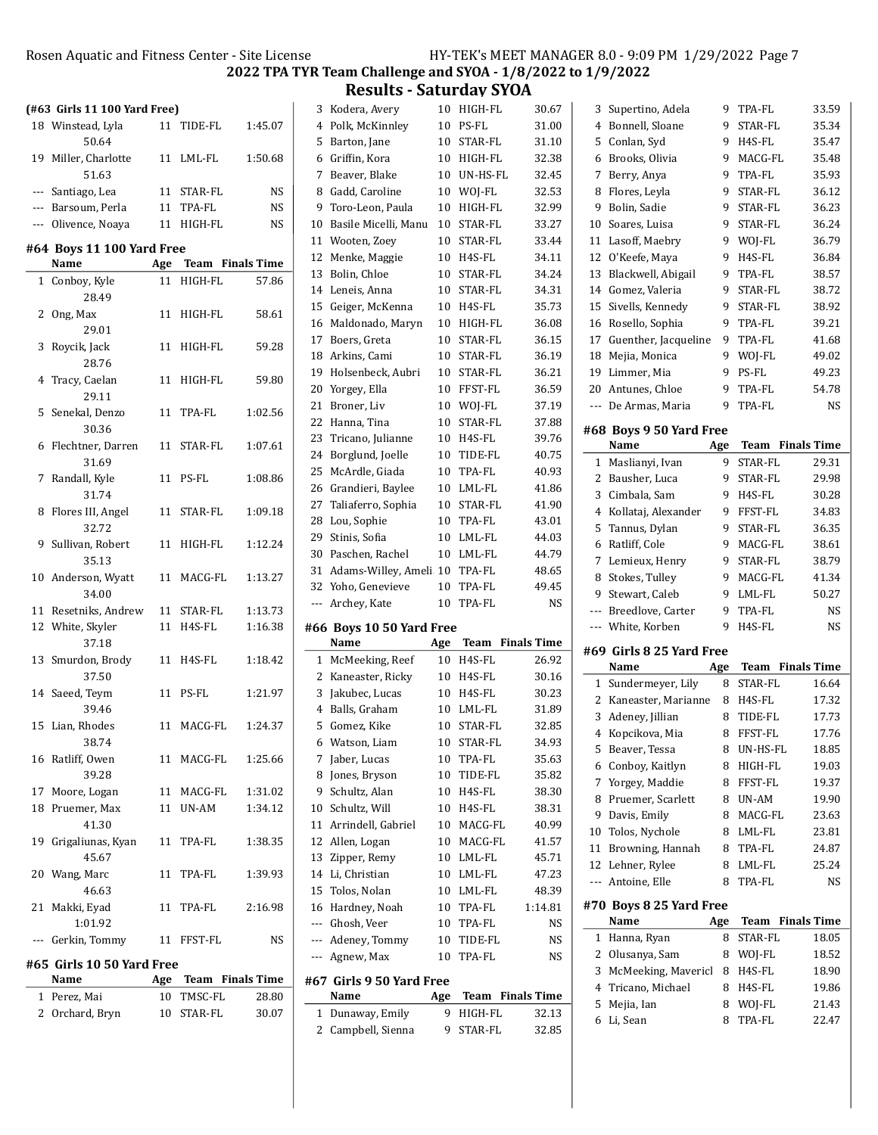Results - Saturday SYOA

| (#63 Girls 11 100 Yard Free) |     |            |                      |       | 3 Kodera, Avery                  |     | 10 HIGH-FL  | 30.67                   | 3 Supertino, Adela       |     | 9 TPA-FL   | 33.59                   |
|------------------------------|-----|------------|----------------------|-------|----------------------------------|-----|-------------|-------------------------|--------------------------|-----|------------|-------------------------|
| 18 Winstead, Lyla            |     | 11 TIDE-FL | 1:45.07              |       | 4 Polk, McKinnley                |     | 10 PS-FL    | 31.00                   | 4 Bonnell, Sloane        |     | 9 STAR-FL  | 35.34                   |
| 50.64                        |     |            |                      | 5     | Barton, Jane                     | 10  | STAR-FL     | 31.10                   | 5 Conlan, Syd            |     | 9 H4S-FL   | 35.47                   |
| 19 Miller, Charlotte         |     | 11 LML-FL  | 1:50.68              |       | 6 Griffin, Kora                  | 10  | HIGH-FL     | 32.38                   | 6 Brooks, Olivia         | 9   | MACG-FL    | 35.48                   |
| 51.63                        |     |            |                      |       | 7 Beaver, Blake                  |     | 10 UN-HS-FL | 32.45                   | 7 Berry, Anya            |     | 9 TPA-FL   | 35.93                   |
| --- Santiago, Lea            |     | 11 STAR-FL | NS                   |       | 8 Gadd, Caroline                 |     | 10 WOJ-FL   | 32.53                   | 8 Flores, Leyla          |     | 9 STAR-FL  | 36.12                   |
| --- Barsoum, Perla           |     | 11 TPA-FL  | <b>NS</b>            |       | 9 Toro-Leon, Paula               |     | 10 HIGH-FL  | 32.99                   | 9 Bolin, Sadie           |     | 9 STAR-FL  | 36.23                   |
| --- Olivence, Noaya          |     | 11 HIGH-FL | <b>NS</b>            |       | 10 Basile Micelli, Manu          |     | 10 STAR-FL  | 33.27                   | 10 Soares, Luisa         |     | 9 STAR-FL  | 36.24                   |
|                              |     |            |                      |       | 11 Wooten, Zoey                  |     | 10 STAR-FL  | 33.44                   | 11 Lasoff, Maebry        |     | 9 WOJ-FL   | 36.79                   |
| #64 Boys 11 100 Yard Free    |     |            |                      | 12    | Menke, Maggie                    |     | 10 H4S-FL   | 34.11                   | 12 O'Keefe, Maya         |     | 9 H4S-FL   | 36.84                   |
| Name                         |     |            | Age Team Finals Time |       | 13 Bolin, Chloe                  |     | 10 STAR-FL  | 34.24                   | 13 Blackwell, Abigail    |     | 9 TPA-FL   | 38.57                   |
| 1 Conboy, Kyle               |     | 11 HIGH-FL | 57.86                |       | 14 Leneis, Anna                  |     | 10 STAR-FL  | 34.31                   | 14 Gomez, Valeria        |     | 9 STAR-FL  | 38.72                   |
| 28.49                        |     |            |                      | 15    | Geiger, McKenna                  |     | 10 H4S-FL   | 35.73                   | 15 Sivells, Kennedy      |     | 9 STAR-FL  | 38.92                   |
| 2 Ong, Max                   |     | 11 HIGH-FL | 58.61                |       | 16 Maldonado, Maryn              |     | 10 HIGH-FL  | 36.08                   | 16 Rosello, Sophia       |     | 9 TPA-FL   | 39.21                   |
| 29.01                        |     |            |                      | 17    | Boers, Greta                     |     | 10 STAR-FL  | 36.15                   | 17 Guenther, Jacqueline  |     | 9 TPA-FL   | 41.68                   |
| 3 Roycik, Jack               |     | 11 HIGH-FL | 59.28                |       | 18 Arkins, Cami                  |     | 10 STAR-FL  | 36.19                   | 18 Mejia, Monica         |     | 9 WOJ-FL   | 49.02                   |
| 28.76                        |     |            |                      |       | 19 Holsenbeck, Aubri             |     | 10 STAR-FL  | 36.21                   | 19 Limmer, Mia           |     | 9 PS-FL    | 49.23                   |
| 4 Tracy, Caelan              |     | 11 HIGH-FL | 59.80                |       | 20 Yorgey, Ella                  |     | 10 FFST-FL  | 36.59                   | 20 Antunes, Chloe        |     | 9 TPA-FL   | 54.78                   |
| 29.11                        |     |            |                      |       | 21 Broner, Liv                   |     | 10 WOJ-FL   | 37.19                   | --- De Armas, Maria      |     | 9 TPA-FL   | <b>NS</b>               |
| 5 Senekal, Denzo             |     | 11 TPA-FL  | 1:02.56              |       | 22 Hanna, Tina                   |     | 10 STAR-FL  | 37.88                   |                          |     |            |                         |
| 30.36                        |     |            |                      |       | 23 Tricano, Julianne             |     | 10 H4S-FL   | 39.76                   | #68 Boys 9 50 Yard Free  |     |            |                         |
| 6 Flechtner, Darren          |     | 11 STAR-FL | 1:07.61              |       | 24 Borglund, Joelle              |     | 10 TIDE-FL  | 40.75                   | Name                     | Age |            | <b>Team</b> Finals Time |
| 31.69                        |     |            |                      |       | 25 McArdle, Giada                |     | 10 TPA-FL   | 40.93                   | 1 Maslianyi, Ivan        |     | 9 STAR-FL  | 29.31                   |
| 7 Randall, Kyle              |     | 11 PS-FL   | 1:08.86              | 26    | Grandieri, Baylee                |     | 10 LML-FL   | 41.86                   | 2 Bausher, Luca          |     | 9 STAR-FL  | 29.98                   |
| 31.74                        |     |            |                      | 27    | Taliaferro, Sophia               |     | 10 STAR-FL  | 41.90                   | 3 Cimbala, Sam           |     | 9 H4S-FL   | 30.28                   |
| 8 Flores III, Angel          |     | 11 STAR-FL | 1:09.18              | 28    | Lou, Sophie                      |     | 10 TPA-FL   | 43.01                   | 4 Kollataj, Alexander    |     | 9 FFST-FL  | 34.83                   |
| 32.72                        |     |            |                      | 29    | Stinis, Sofia                    |     | 10 LML-FL   | 44.03                   | 5 Tannus, Dylan          |     | 9 STAR-FL  | 36.35                   |
| 9 Sullivan, Robert           |     | 11 HIGH-FL | 1:12.24              | 30    | Paschen, Rachel                  |     | 10 LML-FL   | 44.79                   | 6 Ratliff, Cole          |     | 9 MACG-FL  | 38.61                   |
| 35.13                        |     |            |                      |       | 31 Adams-Willey, Ameli 10 TPA-FL |     |             | 48.65                   | 7 Lemieux, Henry         |     | 9 STAR-FL  | 38.79                   |
| 10 Anderson, Wyatt           |     | 11 MACG-FL | 1:13.27              |       | 32 Yoho, Genevieve               |     | 10 TPA-FL   | 49.45                   | 8 Stokes, Tulley         |     | 9 MACG-FL  | 41.34                   |
| 34.00                        |     |            |                      |       | --- Archey, Kate                 |     | 10 TPA-FL   | <b>NS</b>               | 9 Stewart, Caleb         |     | 9 LML-FL   | 50.27                   |
| 11 Resetniks, Andrew         |     | 11 STAR-FL | 1:13.73              |       |                                  |     |             |                         | --- Breedlove, Carter    |     | 9 TPA-FL   | <b>NS</b>               |
| 12 White, Skyler             |     | 11 H4S-FL  | 1:16.38              |       | #66 Boys 10 50 Yard Free         |     |             |                         | --- White, Korben        |     | 9 H4S-FL   | <b>NS</b>               |
| 37.18                        |     |            |                      |       | Name                             | Age |             | Team Finals Time        | #69 Girls 8 25 Yard Free |     |            |                         |
| 13 Smurdon, Brody            |     | 11 H4S-FL  | 1:18.42              |       | 1 McMeeking, Reef                |     | 10 H4S-FL   | 26.92                   | Name                     | Age |            | <b>Team</b> Finals Time |
| 37.50                        |     |            |                      |       | 2 Kaneaster, Ricky               |     | 10 H4S-FL   | 30.16                   | 1 Sundermeyer, Lily      |     | 8 STAR-FL  | 16.64                   |
| 14 Saeed, Teym               |     | 11 PS-FL   | 1:21.97              |       | 3 Jakubec, Lucas                 |     | 10 H4S-FL   | 30.23                   | 2 Kaneaster, Marianne    |     | 8 H4S-FL   | 17.32                   |
| 39.46                        |     |            |                      |       | 4 Balls, Graham                  |     | 10 LML-FL   | 31.89                   | 3 Adeney, Jillian        |     | 8 TIDE-FL  | 17.73                   |
| 15 Lian, Rhodes              |     | 11 MACG-FL | 1:24.37              |       | 5 Gomez, Kike                    |     | 10 STAR-FL  | 32.85                   | 4 Kopcikova, Mia         |     | 8 FFST-FL  | 17.76                   |
| 38.74                        |     |            |                      |       | 6 Watson, Liam                   |     | 10 STAR-FL  | 34.93                   | 5 Beaver, Tessa          |     | 8 UN-HS-FL | 18.85                   |
| 16 Ratliff, Owen             |     | 11 MACG-FL | 1:25.66              |       | 7 Jaber, Lucas                   |     | 10 TPA-FL   | 35.63                   | 6 Conboy, Kaitlyn        |     | 8 HIGH-FL  | 19.03                   |
| 39.28                        |     |            |                      |       | 8 Jones, Bryson                  |     | 10 TIDE-FL  | 35.82                   | 7 Yorgey, Maddie         |     | 8 FFST-FL  | 19.37                   |
| 17 Moore, Logan              |     | 11 MACG-FL | 1:31.02              |       | 9 Schultz, Alan                  |     | 10 H4S-FL   | 38.30                   | 8 Pruemer, Scarlett      |     | 8 UN-AM    | 19.90                   |
| 18 Pruemer, Max              |     | 11 UN-AM   | 1:34.12              |       | 10 Schultz, Will                 |     | 10 H4S-FL   | 38.31                   | 9 Davis, Emily           |     | 8 MACG-FL  | 23.63                   |
| 41.30                        |     |            |                      |       | 11 Arrindell, Gabriel            |     | 10 MACG-FL  | 40.99                   | 10 Tolos, Nychole        |     | 8 LML-FL   | 23.81                   |
| 19 Grigaliunas, Kyan         |     | 11 TPA-FL  | 1:38.35              |       | 12 Allen, Logan                  |     | 10 MACG-FL  | 41.57                   | 11 Browning, Hannah      |     | 8 TPA-FL   | 24.87                   |
| 45.67                        |     |            |                      |       | 13 Zipper, Remy                  |     | 10 LML-FL   | 45.71                   | 12 Lehner, Rylee         |     | 8 LML-FL   | 25.24                   |
| 20 Wang, Marc                |     | 11 TPA-FL  | 1:39.93              |       | 14 Li, Christian                 |     | 10 LML-FL   | 47.23                   | --- Antoine, Elle        |     | 8 TPA-FL   | <b>NS</b>               |
| 46.63                        |     |            |                      | 15    | Tolos, Nolan                     |     | 10 LML-FL   | 48.39                   |                          |     |            |                         |
| 21 Makki, Eyad               |     | 11 TPA-FL  | 2:16.98              | 16    | Hardney, Noah                    | 10  | TPA-FL      | 1:14.81                 | #70 Boys 8 25 Yard Free  |     |            |                         |
| 1:01.92                      |     |            |                      | $---$ | Ghosh, Veer                      | 10  | TPA-FL      | NS                      | Name                     | Age |            | Team Finals Time        |
| --- Gerkin, Tommy            |     | 11 FFST-FL | NS                   | ---   | Adeney, Tommy                    | 10  | TIDE-FL     | NS                      | 1 Hanna, Ryan            |     | 8 STAR-FL  | 18.05                   |
| #65 Girls 10 50 Yard Free    |     |            |                      | $---$ | Agnew, Max                       |     | 10 TPA-FL   | NS                      | 2 Olusanya, Sam          |     | 8 WOJ-FL   | 18.52                   |
| Name                         | Age |            | Team Finals Time     |       | #67 Girls 9 50 Yard Free         |     |             |                         | 3 McMeeking, Mavericl    |     | 8 H4S-FL   | 18.90                   |
| 1 Perez, Mai                 |     | 10 TMSC-FL | 28.80                |       | Name                             | Age |             | <b>Team</b> Finals Time | 4 Tricano, Michael       |     | 8 H4S-FL   | 19.86                   |
| 2 Orchard, Bryn              |     | 10 STAR-FL | 30.07                |       | 1 Dunaway, Emily                 |     | 9 HIGH-FL   | 32.13                   | 5 Mejia, Ian             |     | 8 WOJ-FL   | 21.43                   |
|                              |     |            |                      |       | 2 Campbell, Sienna               |     | 9 STAR-FL   | 32.85                   | 6 Li, Sean               |     | 8 TPA-FL   | 22.47                   |
|                              |     |            |                      |       |                                  |     |             |                         |                          |     |            |                         |